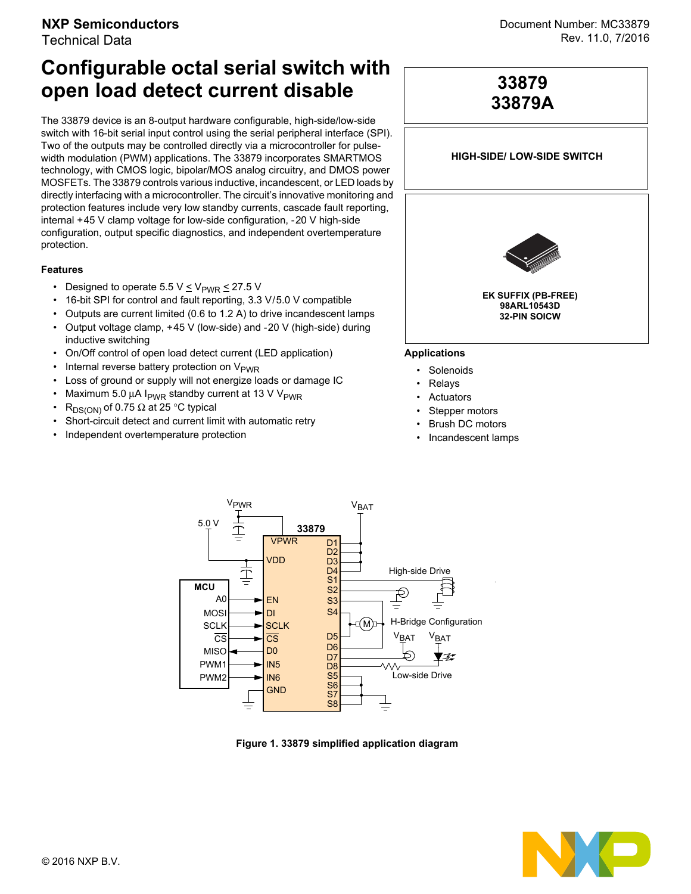# **NXP Semiconductors**

Technical Data

# **Configurable octal serial switch with open load detect current disable**

The 33879 device is an 8-output hardware configurable, high-side/low-side switch with 16-bit serial input control using the serial peripheral interface (SPI). Two of the outputs may be controlled directly via a microcontroller for pulsewidth modulation (PWM) applications. The 33879 incorporates SMARTMOS technology, with CMOS logic, bipolar/MOS analog circuitry, and DMOS power MOSFETs. The 33879 controls various inductive, incandescent, or LED loads by directly interfacing with a microcontroller. The circuit's innovative monitoring and protection features include very low standby currents, cascade fault reporting, internal +45 V clamp voltage for low-side configuration, -20 V high-side configuration, output specific diagnostics, and independent overtemperature protection.

#### **Features**

- Designed to operate 5.5 V  $\leq$  V<sub>PWR</sub>  $\leq$  27.5 V
- 16-bit SPI for control and fault reporting, 3.3 V/5.0 V compatible
- Outputs are current limited (0.6 to 1.2 A) to drive incandescent lamps
- Output voltage clamp, +45 V (low-side) and -20 V (high-side) during inductive switching
- On/Off control of open load detect current (LED application)
- Internal reverse battery protection on  $V_{\text{PWR}}$
- Loss of ground or supply will not energize loads or damage IC
- Maximum 5.0  $\mu$ A I<sub>PWR</sub> standby current at 13 V V<sub>PWR</sub>
- R<sub>DS(ON)</sub> of 0.75  $\Omega$  at 25 °C typical
- Short-circuit detect and current limit with automatic retry
- Independent overtemperature protection



**33879**

#### **Applications**

- **Solenoids**
- **Relays**
- **Actuators**
- Stepper motors
- **Brush DC motors**
- Incandescent lamps



 **Figure 1. 33879 simplified application diagram**

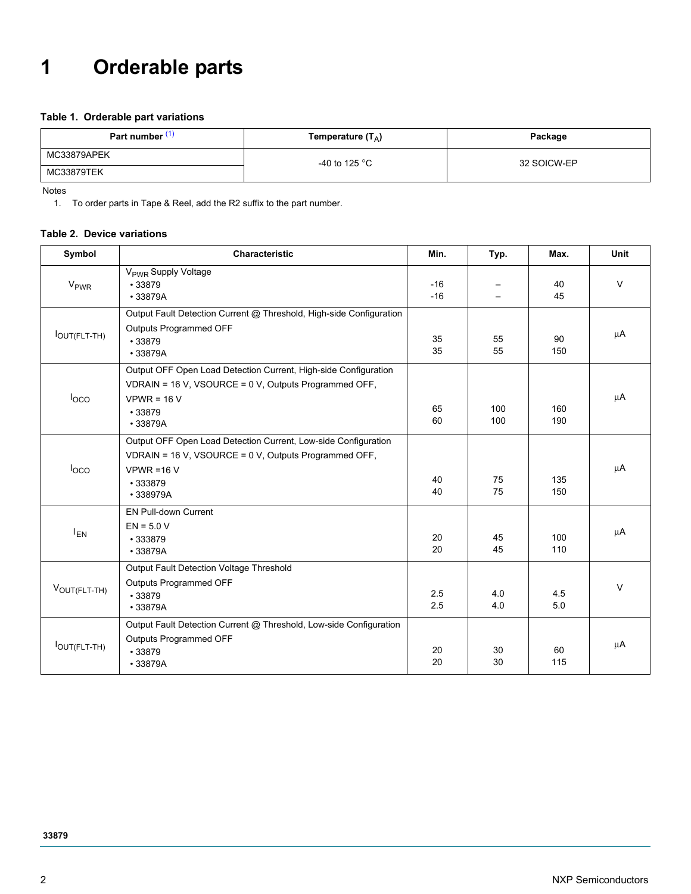# **1 Orderable parts**

#### **Table 1. Orderable part variations**

| Part number | Temperature $(T_A)$     | Package     |  |  |
|-------------|-------------------------|-------------|--|--|
| MC33879APEK | -40 to 125 $^{\circ}$ C | 32 SOICW-EP |  |  |
| MC33879TEK  |                         |             |  |  |

<span id="page-1-0"></span>Notes

1. To order parts in Tape & Reel, add the R2 suffix to the part number.

#### <span id="page-1-1"></span>**Table 2. Device variations**

| Symbol           | Characteristic                                                                                                                                                  | Min.           | Typ.       | Max.       | Unit   |
|------------------|-----------------------------------------------------------------------------------------------------------------------------------------------------------------|----------------|------------|------------|--------|
| V <sub>PWR</sub> | V <sub>PWR</sub> Supply Voltage<br>•33879<br>•33879A                                                                                                            | $-16$<br>$-16$ |            | 40<br>45   | $\vee$ |
| lOUT(FLT-TH)     | Output Fault Detection Current @ Threshold, High-side Configuration<br>Outputs Programmed OFF<br>•33879<br>•33879A                                              | 35<br>35       | 55<br>55   | 90<br>150  | μA     |
| loco             | Output OFF Open Load Detection Current, High-side Configuration<br>VDRAIN = 16 V, VSOURCE = 0 V, Outputs Programmed OFF,<br>$VPWR = 16 V$<br>•33879<br>•33879A  | 65<br>60       | 100<br>100 | 160<br>190 | μA     |
| $I_{\text{OCO}}$ | Output OFF Open Load Detection Current, Low-side Configuration<br>VDRAIN = 16 V, VSOURCE = 0 V, Outputs Programmed OFF,<br>$VPWR = 16 V$<br>•333879<br>•338979A | 40<br>40       | 75<br>75   | 135<br>150 | μA     |
| $I_{EN}$         | EN Pull-down Current<br>$EN = 5.0 V$<br>•333879<br>•33879A                                                                                                      | 20<br>20       | 45<br>45   | 100<br>110 | μA     |
| VOUT(FLT-TH)     | Output Fault Detection Voltage Threshold<br>Outputs Programmed OFF<br>•33879<br>•33879A                                                                         | 2.5<br>2.5     | 4.0<br>4.0 | 4.5<br>5.0 | $\vee$ |
| lOUT(FLT-TH)     | Output Fault Detection Current @ Threshold, Low-side Configuration<br>Outputs Programmed OFF<br>•33879<br>•33879A                                               | 20<br>20       | 30<br>30   | 60<br>115  | μA     |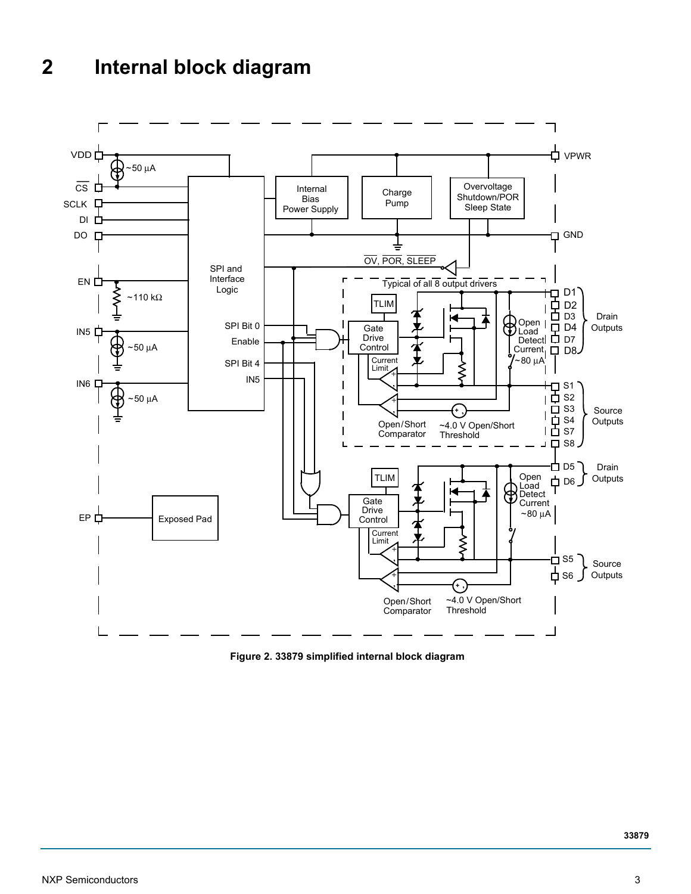# **2 Internal block diagram**



<span id="page-2-0"></span> **Figure 2. 33879 simplified internal block diagram**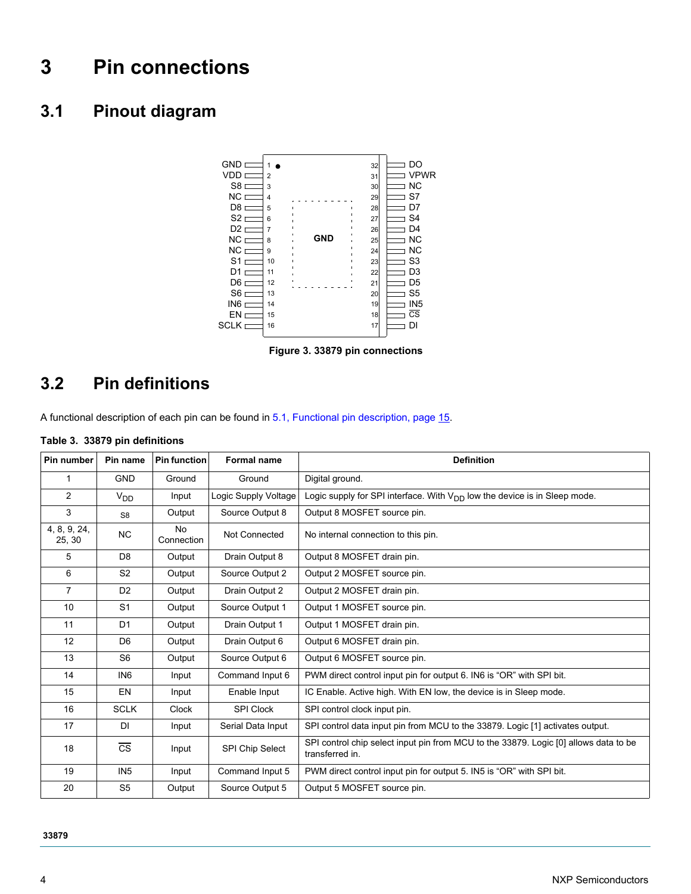# **3 Pin connections**

# **3.1 Pinout diagram**



 **Figure 3. 33879 pin connections**

## **3.2 Pin definitions**

A functional description of each pin can be found in [5.1, Functional pin description, page 15.](#page-14-0)

#### **Table 3. 33879 pin definitions**

| Pin number             | Pin name               | <b>Pin function</b>     | <b>Formal name</b>     | <b>Definition</b>                                                                                       |
|------------------------|------------------------|-------------------------|------------------------|---------------------------------------------------------------------------------------------------------|
| 1                      | <b>GND</b>             | Ground                  | Ground                 | Digital ground.                                                                                         |
| 2                      | <b>V<sub>DD</sub></b>  | Input                   | Logic Supply Voltage   | Logic supply for SPI interface. With $V_{DD}$ low the device is in Sleep mode.                          |
| 3                      | S <sub>8</sub>         | Output                  | Source Output 8        | Output 8 MOSFET source pin.                                                                             |
| 4, 8, 9, 24,<br>25, 30 | <b>NC</b>              | <b>No</b><br>Connection | Not Connected          | No internal connection to this pin.                                                                     |
| 5                      | D <sub>8</sub>         | Output                  | Drain Output 8         | Output 8 MOSFET drain pin.                                                                              |
| 6                      | S <sub>2</sub>         | Output                  | Source Output 2        | Output 2 MOSFET source pin.                                                                             |
| $\overline{7}$         | D <sub>2</sub>         | Output                  | Drain Output 2         | Output 2 MOSFET drain pin.                                                                              |
| 10                     | S <sub>1</sub>         | Output                  | Source Output 1        | Output 1 MOSFET source pin.                                                                             |
| 11                     | D <sub>1</sub>         | Output                  | Drain Output 1         | Output 1 MOSFET drain pin.                                                                              |
| 12                     | D <sub>6</sub>         | Output                  | Drain Output 6         | Output 6 MOSFET drain pin.                                                                              |
| 13                     | S <sub>6</sub>         | Output                  | Source Output 6        | Output 6 MOSFET source pin.                                                                             |
| 14                     | IN <sub>6</sub>        | Input                   | Command Input 6        | PWM direct control input pin for output 6. IN6 is "OR" with SPI bit.                                    |
| 15                     | EN                     | Input                   | Enable Input           | IC Enable. Active high. With EN low, the device is in Sleep mode.                                       |
| 16                     | <b>SCLK</b>            | <b>Clock</b>            | <b>SPI Clock</b>       | SPI control clock input pin.                                                                            |
| 17                     | DI                     | Input                   | Serial Data Input      | SPI control data input pin from MCU to the 33879. Logic [1] activates output.                           |
| 18                     | $\overline{\text{cs}}$ | Input                   | <b>SPI Chip Select</b> | SPI control chip select input pin from MCU to the 33879. Logic [0] allows data to be<br>transferred in. |
| 19                     | IN <sub>5</sub>        | Input                   | Command Input 5        | PWM direct control input pin for output 5. IN5 is "OR" with SPI bit.                                    |
| 20                     | S <sub>5</sub>         | Output                  | Source Output 5        | Output 5 MOSFET source pin.                                                                             |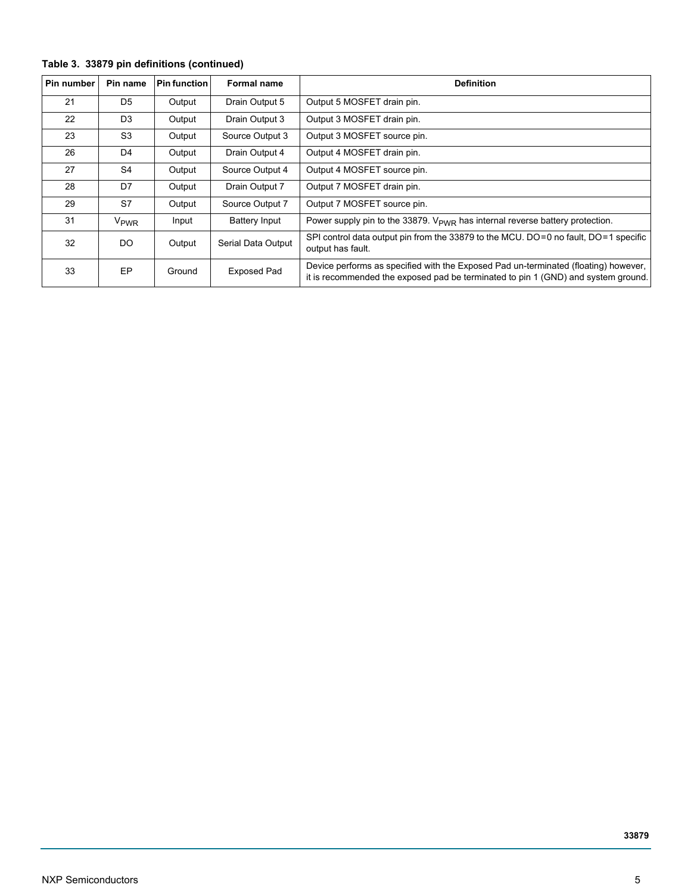#### **Table 3. 33879 pin definitions (continued)**

| Pin number | <b>Pin function</b><br>Pin name<br><b>Formal name</b> |        |                    | <b>Definition</b>                                                                                                                                                        |
|------------|-------------------------------------------------------|--------|--------------------|--------------------------------------------------------------------------------------------------------------------------------------------------------------------------|
| 21         | D <sub>5</sub>                                        | Output | Drain Output 5     | Output 5 MOSFET drain pin.                                                                                                                                               |
| 22         | D <sub>3</sub>                                        | Output | Drain Output 3     | Output 3 MOSFET drain pin.                                                                                                                                               |
| 23         | S <sub>3</sub>                                        | Output | Source Output 3    | Output 3 MOSFET source pin.                                                                                                                                              |
| 26         | D <sub>4</sub>                                        | Output | Drain Output 4     | Output 4 MOSFET drain pin.                                                                                                                                               |
| 27         | S4                                                    | Output | Source Output 4    | Output 4 MOSFET source pin.                                                                                                                                              |
| 28         | D7                                                    | Output | Drain Output 7     | Output 7 MOSFET drain pin.                                                                                                                                               |
| 29         | S7                                                    | Output | Source Output 7    | Output 7 MOSFET source pin.                                                                                                                                              |
| 31         | V <sub>PWR</sub>                                      | Input  | Battery Input      | Power supply pin to the 33879. $V_{\text{PWR}}$ has internal reverse battery protection.                                                                                 |
| 32         | DO                                                    | Output | Serial Data Output | SPI control data output pin from the 33879 to the MCU. DO=0 no fault, DO=1 specific<br>output has fault.                                                                 |
| 33         | <b>EP</b>                                             | Ground | <b>Exposed Pad</b> | Device performs as specified with the Exposed Pad un-terminated (floating) however,<br>it is recommended the exposed pad be terminated to pin 1 (GND) and system ground. |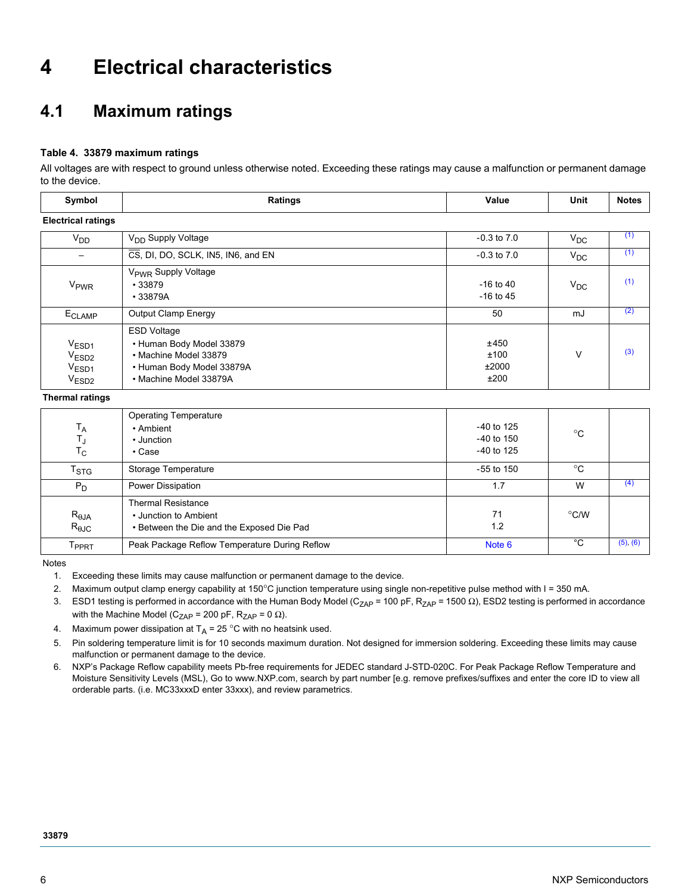# **4 Electrical characteristics**

## **4.1 Maximum ratings**

#### **Table 4. 33879 maximum ratings**

All voltages are with respect to ground unless otherwise noted. Exceeding these ratings may cause a malfunction or permanent damage to the device.

| Symbol                                                                    | <b>Ratings</b>                                                                                                                 | Value                          | Unit     | <b>Notes</b> |
|---------------------------------------------------------------------------|--------------------------------------------------------------------------------------------------------------------------------|--------------------------------|----------|--------------|
| <b>Electrical ratings</b>                                                 |                                                                                                                                |                                |          |              |
| V <sub>DD</sub>                                                           | V <sub>DD</sub> Supply Voltage                                                                                                 | $-0.3$ to $7.0$                | $V_{DC}$ | (1)          |
|                                                                           | $\overline{\text{CS}}$ , DI, DO, SCLK, IN5, IN6, and EN                                                                        | $-0.3$ to $7.0$                | $V_{DC}$ | (1)          |
| V <sub>PWR</sub>                                                          | V <sub>PWR</sub> Supply Voltage<br>$\cdot$ 33879<br>$\cdot$ 33879A                                                             | $-16$ to $40$<br>$-16$ to $45$ | $V_{DC}$ | (1)          |
| E <sub>CLAMP</sub>                                                        | <b>Output Clamp Energy</b>                                                                                                     | 50                             | mJ       | (2)          |
| $V_{ESD1}$<br>V <sub>ESD2</sub><br>V <sub>ESD1</sub><br>V <sub>ESD2</sub> | <b>ESD Voltage</b><br>• Human Body Model 33879<br>• Machine Model 33879<br>• Human Body Model 33879A<br>• Machine Model 33879A | ±450<br>±100<br>±2000<br>±200  | V        | (3)          |

**Thermal ratings**

| $T_A$<br>Tյ<br>$T_{\rm C}$       | <b>Operating Temperature</b><br>• Ambient<br>• Junction<br>$\cdot$ Case                         | $-40$ to 125<br>$-40$ to 150<br>$-40$ to 125 | $^{\circ}C$   |          |
|----------------------------------|-------------------------------------------------------------------------------------------------|----------------------------------------------|---------------|----------|
| $T_{\mathsf{STG}}$               | Storage Temperature                                                                             | $-55$ to 150                                 | $^{\circ}C$   |          |
| $P_D$                            | Power Dissipation                                                                               | 1.7                                          | W             | (4)      |
| $R_{\theta$ JA<br>$R_{\theta$ JC | <b>Thermal Resistance</b><br>• Junction to Ambient<br>• Between the Die and the Exposed Die Pad | 71<br>1.2                                    | $\degree$ C/W |          |
| $\mathsf{T}_{\mathsf{PPRT}}$     | Peak Package Reflow Temperature During Reflow                                                   | Note 6                                       | °C            | (5), (6) |

<span id="page-5-0"></span>Notes

- <span id="page-5-6"></span>1. Exceeding these limits may cause malfunction or permanent damage to the device.
- <span id="page-5-1"></span>2. Maximum output clamp energy capability at 150°C junction temperature using single non-repetitive pulse method with I = 350 mA.
- <span id="page-5-2"></span>3. ESD1 testing is performed in accordance with the Human Body Model (C<sub>ZAP</sub> = 100 pF, R<sub>ZAP</sub> = 1500 Ω), ESD2 testing is performed in accordance with the Machine Model (C<sub>ZAP</sub> = 200 pF, R<sub>ZAP</sub> = 0  $\Omega$ ).
- <span id="page-5-3"></span>4. Maximum power dissipation at  $T_A = 25$  °C with no heatsink used.

<span id="page-5-4"></span>5. Pin soldering temperature limit is for 10 seconds maximum duration. Not designed for immersion soldering. Exceeding these limits may cause malfunction or permanent damage to the device.

<span id="page-5-5"></span>6. [NXP's Package Reflow capability meets Pb-free requirements for JEDEC standard J-STD-020C. For Peak Package Reflow Temperature and](http://www.freescale.com)  [Moisture Sensitivity Levels \(MSL\), Go to www.NXP.com, search by part number \[e.g. remove prefixes/suffixes and enter the core ID to view all](http://www.freescale.com)  orderable parts. (i.e. MC33xxxD enter 33xxx), and review parametrics.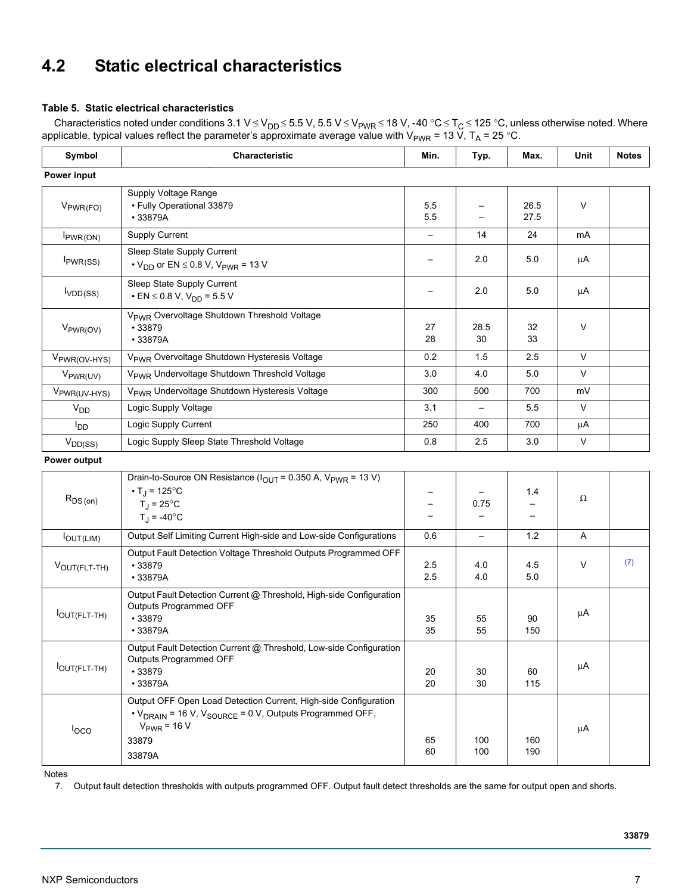## **4.2 Static electrical characteristics**

#### **Table 5. Static electrical characteristics**

Characteristics noted under conditions 3.1 V ≤ V<sub>DD</sub> ≤ 5.5 V, 5.5 V ≤ V<sub>PWR</sub> ≤ 18 V, -40 °C ≤ T<sub>C</sub> ≤ 125 °C, unless otherwise noted. Where applicable, typical values reflect the parameter's approximate average value with V<sub>PWR</sub> = 13 V, T<sub>A</sub> = 25 °C.

| Symbol                   | Characteristic                                                                                                                                                                            | Min.       | Typ.                     | Max.         | Unit         | <b>Notes</b> |
|--------------------------|-------------------------------------------------------------------------------------------------------------------------------------------------------------------------------------------|------------|--------------------------|--------------|--------------|--------------|
| Power input              |                                                                                                                                                                                           |            |                          |              |              |              |
| $V_{PWR(FO)}$            | Supply Voltage Range<br>• Fully Operational 33879<br>•33879A                                                                                                                              | 5.5<br>5.5 |                          | 26.5<br>27.5 | V            |              |
| $I_{PWR(ON)}$            | <b>Supply Current</b>                                                                                                                                                                     |            | 14                       | 24           | mA           |              |
| $I_{PWR}(SS)$            | Sleep State Supply Current<br>$\cdot$ V <sub>DD</sub> or EN $\leq$ 0.8 V, V <sub>PWR</sub> = 13 V                                                                                         |            | 2.0                      | 5.0          | μA           |              |
| I <sub>VDD</sub> (SS)    | Sleep State Supply Current<br>$\cdot$ EN $\leq$ 0.8 V, V <sub>DD</sub> = 5.5 V                                                                                                            |            | 2.0                      | 5.0          | μA           |              |
| V <sub>PWR(OV)</sub>     | V <sub>PWR</sub> Overvoltage Shutdown Threshold Voltage<br>•33879<br>•33879A                                                                                                              | 27<br>28   | 28.5<br>30               | 32<br>33     | V            |              |
| V <sub>PWR(OV-HYS)</sub> | V <sub>PWR</sub> Overvoltage Shutdown Hysteresis Voltage                                                                                                                                  | 0.2        | 1.5                      | 2.5          | $\vee$       |              |
| V <sub>PWR(UV)</sub>     | V <sub>PWR</sub> Undervoltage Shutdown Threshold Voltage                                                                                                                                  | 3.0        | 4.0                      | 5.0          | $\vee$       |              |
| V <sub>PWR(UV-HYS)</sub> | V <sub>PWR</sub> Undervoltage Shutdown Hysteresis Voltage                                                                                                                                 | 300        | 500                      | 700          | mV           |              |
| <b>V<sub>DD</sub></b>    | Logic Supply Voltage                                                                                                                                                                      | 3.1        |                          | 5.5          | $\vee$       |              |
| l <sub>DD</sub>          | Logic Supply Current                                                                                                                                                                      | 250        | 400                      | 700          | μA           |              |
| $V_{DD(SS)}$             | Logic Supply Sleep State Threshold Voltage                                                                                                                                                | 0.8        | 2.5                      | 3.0          | $\mathsf{V}$ |              |
| Power output             |                                                                                                                                                                                           |            |                          |              |              |              |
| $R_{DS(on)}$             | Drain-to-Source ON Resistance ( $I_{OUT}$ = 0.350 A, $V_{PWR}$ = 13 V)<br>• $T_{\rm J}$ = 125°C<br>$T_{\rm J}$ = 25 $^{\circ}$ C<br>$T_{\rm J}$ = -40°C                                   |            | 0.75                     | 1.4          | Ω            |              |
| $I_{OUT(LIM)}$           | Output Self Limiting Current High-side and Low-side Configurations                                                                                                                        | 0.6        | $\overline{\phantom{0}}$ | $1.2$        | Α            |              |
| VOUT(FLT-TH)             | Output Fault Detection Voltage Threshold Outputs Programmed OFF<br>•33879<br>•33879A                                                                                                      | 2.5<br>2.5 | 4.0<br>4.0               | 4.5<br>5.0   | V            | (7)          |
| lOUT(FLT-TH)             | Output Fault Detection Current @ Threshold, High-side Configuration<br>Outputs Programmed OFF<br>•33879<br>•33879A                                                                        | 35<br>35   | 55<br>55                 | 90<br>150    | μA           |              |
| <b>OUT(FLT-TH)</b>       | Output Fault Detection Current @ Threshold, Low-side Configuration<br>Outputs Programmed OFF<br>•33879<br>•33879A                                                                         | 20<br>20   | 30<br>30                 | 60<br>115    | μA           |              |
| loco                     | Output OFF Open Load Detection Current, High-side Configuration<br>• V <sub>DRAIN</sub> = 16 V, V <sub>SOURCE</sub> = 0 V, Outputs Programmed OFF,<br>$V_{PWR}$ = 16 V<br>33879<br>33879A | 65<br>60   | 100<br>100               | 160<br>190   | μA           |              |

<span id="page-6-4"></span><span id="page-6-3"></span><span id="page-6-2"></span><span id="page-6-1"></span>Notes

<span id="page-6-0"></span>7. Output fault detection thresholds with outputs programmed OFF. Output fault detect thresholds are the same for output open and shorts.

**33879**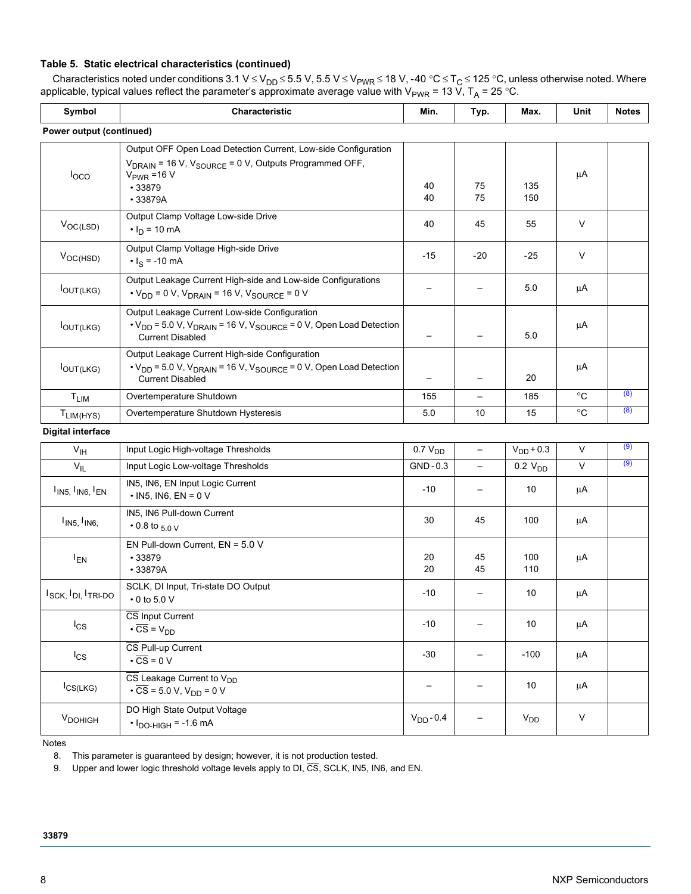#### **Table 5. Static electrical characteristics (continued)**

Characteristics noted under conditions 3.1 V ≤ V<sub>DD</sub> ≤ 5.5 V, 5.5 V ≤ V<sub>PWR</sub> ≤ 18 V, -40 °C ≤ T<sub>C</sub> ≤ 125 °C, unless otherwise noted. Where applicable, typical values reflect the parameter's approximate average value with V<sub>PWR</sub> = 13 V, T<sub>A</sub> = 25 °C.

<span id="page-7-2"></span>

| Symbol                                | Characteristic                                                                                                                                                                          | Min.                | Typ.                     | Max.                | Unit         | <b>Notes</b> |
|---------------------------------------|-----------------------------------------------------------------------------------------------------------------------------------------------------------------------------------------|---------------------|--------------------------|---------------------|--------------|--------------|
| Power output (continued)              |                                                                                                                                                                                         |                     |                          |                     |              |              |
| $I_{\rm OCO}$                         | Output OFF Open Load Detection Current, Low-side Configuration<br>V <sub>DRAIN</sub> = 16 V, V <sub>SOURCE</sub> = 0 V, Outputs Programmed OFF,<br>$V_{PWR}$ =16 V<br>•33879<br>•33879A | 40<br>40            | 75<br>75                 | 135<br>150          | μA           |              |
| $V_{OC(LSD)}$                         | Output Clamp Voltage Low-side Drive<br>$\cdot I_D = 10 \text{ mA}$                                                                                                                      | 40                  | 45                       | 55                  | V            |              |
| $V_{OC(HSD)}$                         | Output Clamp Voltage High-side Drive<br>$\cdot I_S = -10$ mA                                                                                                                            | $-15$               | $-20$                    | $-25$               | V            |              |
| OUT(LKG)                              | Output Leakage Current High-side and Low-side Configurations<br>$\cdot$ V <sub>DD</sub> = 0 V, V <sub>DRAIN</sub> = 16 V, V <sub>SOURCE</sub> = 0 V                                     |                     |                          | 5.0                 | μA           |              |
| <b>IOUT(LKG)</b>                      | Output Leakage Current Low-side Configuration<br>$\cdot$ V <sub>DD</sub> = 5.0 V, V <sub>DRAIN</sub> = 16 V, V <sub>SOURCE</sub> = 0 V, Open Load Detection<br><b>Current Disabled</b>  |                     |                          | $5.0\,$             | μA           |              |
| $I_{OUT(LKG)}$                        | Output Leakage Current High-side Configuration<br>$\cdot$ V <sub>DD</sub> = 5.0 V, V <sub>DRAIN</sub> = 16 V, V <sub>SOURCE</sub> = 0 V, Open Load Detection<br><b>Current Disabled</b> |                     |                          | 20                  | μA           |              |
| T <sub>LIM</sub>                      | Overtemperature Shutdown                                                                                                                                                                | 155                 | $\qquad \qquad -$        | 185                 | $^{\circ}C$  | (8)          |
| $T_{LIM(HYS)}$                        | Overtemperature Shutdown Hysteresis                                                                                                                                                     | 5.0                 | 10                       | 15                  | $^{\circ}C$  | (8)          |
| <b>Digital interface</b>              |                                                                                                                                                                                         |                     |                          |                     |              |              |
| $V_{\text{IH}}$                       | Input Logic High-voltage Thresholds                                                                                                                                                     | 0.7 V <sub>DD</sub> | $\overline{\phantom{0}}$ | $V_{DD}$ + 0.3      | $\vee$       | (9)          |
| $V_{IL}$                              | Input Logic Low-voltage Thresholds                                                                                                                                                      | GND-0.3             |                          | 0.2 V <sub>DD</sub> | V            | (9)          |
| $I_{IN5, I_{IN6, I_{EN}}$             | IN5, IN6, EN Input Logic Current<br>$\cdot$ IN5, IN6, EN = 0 V                                                                                                                          | $-10$               |                          | 10                  | $\mu A$      |              |
| I <sub>IN5</sub> , I <sub>IN6</sub> , | IN5, IN6 Pull-down Current<br>$\cdot$ 0.8 to $_{5.0}$ v                                                                                                                                 | 30                  | 45                       | 100                 | μA           |              |
| $I_{EN}$                              | EN Pull-down Current, EN = 5.0 V<br>•33879<br>•33879A                                                                                                                                   | 20<br>20            | 45<br>45                 | 100<br>110          | μA           |              |
| $I_{SCK}$ , $I_{DI}$ , $I_{TRI-DO}$   | SCLK, DI Input, Tri-state DO Output<br>$\cdot$ 0 to 5.0 V                                                                                                                               | $-10$               |                          | 10                  | μA           |              |
| $I_{CS}$                              | CS Input Current<br>$\cdot \overline{\text{CS}} = \text{V}_{\text{DD}}$                                                                                                                 | $-10$               |                          | 10                  | μA           |              |
| $I_{CS}$                              | CS Pull-up Current<br>$\cdot \overline{\text{CS}} = 0 \text{ V}$                                                                                                                        | $-30$               | —                        | $-100$              | μA           |              |
| $I_{CS(LKG)}$                         | $\overline{\text{CS}}$ Leakage Current to $V_{DD}$<br>$\cdot \overline{CS} = 5.0 \text{ V}, V_{DD} = 0 \text{ V}$                                                                       |                     |                          | 10                  | μA           |              |
| V <sub>DOHIGH</sub>                   | DO High State Output Voltage<br>$\cdot$ $I_{DO-HIGH}$ = -1.6 mA                                                                                                                         | $V_{DD} - 0.4$      |                          | $V_{DD}$            | $\mathsf{V}$ |              |

<span id="page-7-3"></span><span id="page-7-0"></span>Notes

8. This parameter is guaranteed by design; however, it is not production tested.

<span id="page-7-1"></span>9. Upper and lower logic threshold voltage levels apply to DI, CS, SCLK, IN5, IN6, and EN.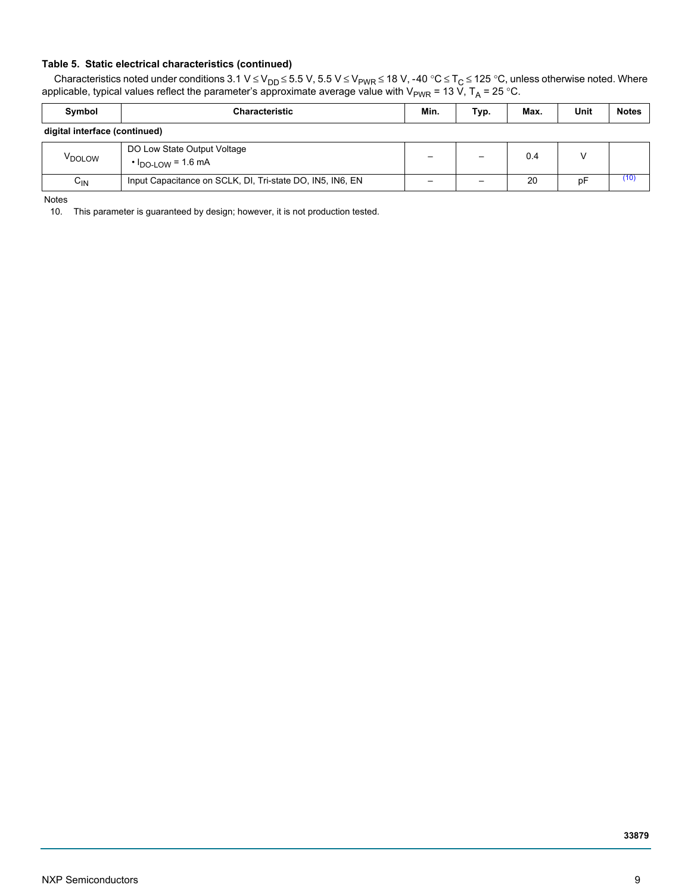#### **Table 5. Static electrical characteristics (continued)**

Characteristics noted under conditions 3.1 V ≤ V<sub>DD</sub> ≤ 5.5 V, 5.5 V ≤ V<sub>PWR</sub> ≤ 18 V, -40 °C ≤ T<sub>C</sub> ≤ 125 °C, unless otherwise noted. Where applicable, typical values reflect the parameter's approximate average value with V<sub>PWR</sub> = 13 V, T<sub>A</sub> = 25 °C.

| Symbol                        | <b>Characteristic</b>                                        | Min. | Typ. | Max. | Unit | <b>Notes</b> |  |  |  |  |
|-------------------------------|--------------------------------------------------------------|------|------|------|------|--------------|--|--|--|--|
| digital interface (continued) |                                                              |      |      |      |      |              |  |  |  |  |
| V <sub>DOLOW</sub>            | DO Low State Output Voltage<br>$\cdot$ $I_{DO-LOW}$ = 1.6 mA |      |      | 0.4  |      |              |  |  |  |  |
| $C_{\text{IN}}$               | Input Capacitance on SCLK, DI, Tri-state DO, IN5, IN6, EN    |      |      | 20   | pF   | (10)         |  |  |  |  |

Notes

<span id="page-8-0"></span>10. This parameter is guaranteed by design; however, it is not production tested.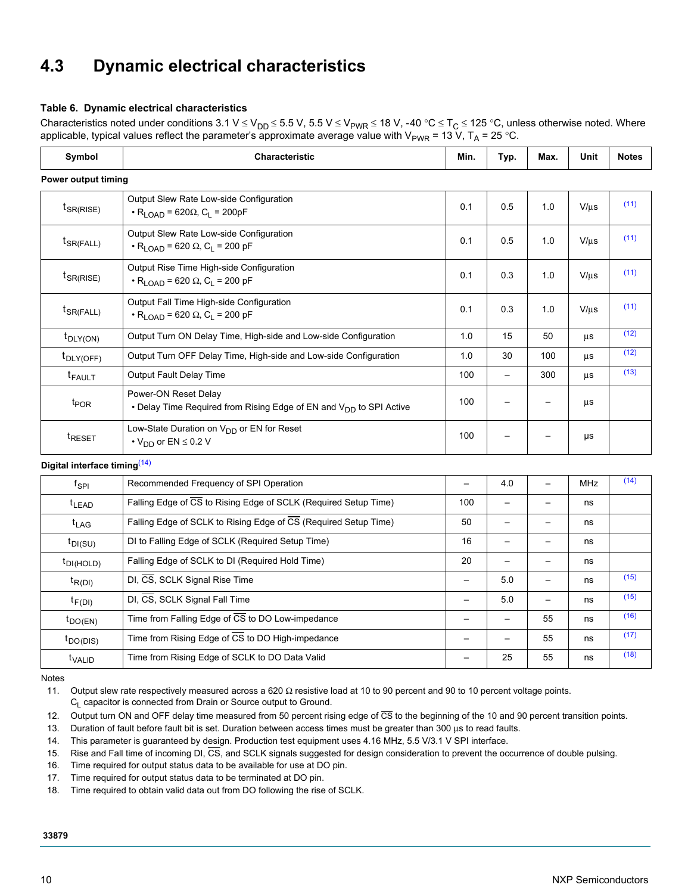# **4.3 Dynamic electrical characteristics**

#### **Table 6. Dynamic electrical characteristics**

Characteristics noted under conditions 3.1 V ≤ V<sub>DD</sub> ≤ 5.5 V, 5.5 V ≤ V<sub>PWR</sub> ≤ 18 V, -40 °C ≤ T<sub>C</sub> ≤ 125 °C, unless otherwise noted. Where applicable, typical values reflect the parameter's approximate average value with  $V_{PWR}$  = 13 V, T<sub>A</sub> = 25 °C.

| Symbol                                   | Characteristic                                                                                                 | Min.                     | Typ.                     | Max.                     | Unit       | <b>Notes</b> |
|------------------------------------------|----------------------------------------------------------------------------------------------------------------|--------------------------|--------------------------|--------------------------|------------|--------------|
| Power output timing                      |                                                                                                                |                          |                          |                          |            |              |
| $t_{SR(RISE)}$                           | Output Slew Rate Low-side Configuration<br>$\cdot$ R <sub>LOAD</sub> = 620 $\Omega$ , C <sub>L</sub> = 200pF   | 0.1                      | 0.5                      | 1.0                      | $V/\mu s$  | (11)         |
| $t_{SR(FALL)}$                           | Output Slew Rate Low-side Configuration<br>$\cdot$ R <sub>I OAD</sub> = 620 $\Omega$ , C <sub>L</sub> = 200 pF | 0.1                      | 0.5                      | 1.0                      | $V/\mu s$  | (11)         |
| $t_{SR(RISE)}$                           | Output Rise Time High-side Configuration<br>$\cdot$ R <sub>LOAD</sub> = 620 $\Omega$ , C <sub>L</sub> = 200 pF | 0.1                      | 0.3                      | 1.0                      | $V/\mu s$  | (11)         |
| $t_{\text{SR}(\text{FALL})}$             | Output Fall Time High-side Configuration<br>$\cdot$ R <sub>LOAD</sub> = 620 $\Omega$ , C <sub>L</sub> = 200 pF | 0.1                      | 0.3                      | 1.0                      | $V/\mu s$  | (11)         |
| $t_{\text{DLY(ON)}}$                     | Output Turn ON Delay Time, High-side and Low-side Configuration                                                | 1.0                      | 15                       | 50                       | μs         | (12)         |
| $t_{\text{DLY(OFF)}}$                    | Output Turn OFF Delay Time, High-side and Low-side Configuration                                               | 1.0                      | 30                       | 100                      | μs         | (12)         |
| $t_{FAULT}$                              | Output Fault Delay Time                                                                                        | 100                      | $\overline{\phantom{0}}$ | 300                      | μs         | (13)         |
| t <sub>POR</sub>                         | Power-ON Reset Delay<br>• Delay Time Required from Rising Edge of EN and V <sub>DD</sub> to SPI Active         | 100                      | $\overline{\phantom{0}}$ |                          | μs         |              |
| t <sub>RESET</sub>                       | Low-State Duration on V <sub>DD</sub> or EN for Reset<br>$\cdot$ V <sub>DD</sub> or EN $\leq$ 0.2 V            | 100                      |                          |                          | μs         |              |
| Digital interface timing <sup>(14)</sup> |                                                                                                                |                          |                          |                          |            |              |
| $f_{\rm SPI}$                            | Recommended Frequency of SPI Operation                                                                         | $\overline{\phantom{0}}$ | 4.0                      | $\overline{\phantom{0}}$ | <b>MHz</b> | (14)         |
| t <sub>LEAD</sub>                        | Falling Edge of CS to Rising Edge of SCLK (Required Setup Time)                                                | 100                      | $\qquad \qquad -$        |                          | ns         |              |
| $t_{LAG}$                                | Falling Edge of SCLK to Rising Edge of CS (Required Setup Time)                                                | 50                       | $\overline{\phantom{0}}$ |                          | ns         |              |
| $t_{\text{DI(SU)}}$                      | DI to Falling Edge of SCLK (Required Setup Time)                                                               | 16                       | $\qquad \qquad -$        | $\qquad \qquad -$        | ns         |              |
| $t_{DI(HOLD)}$                           | Falling Edge of SCLK to DI (Required Hold Time)                                                                | 20                       | $\qquad \qquad -$        | $\qquad \qquad -$        | ns         |              |
| $t_{R(DI)}$                              | DI, CS, SCLK Signal Rise Time                                                                                  | $\overline{\phantom{0}}$ | 5.0                      | $\overline{\phantom{0}}$ | ns         | (15)         |
| $t_{F(DI)}$                              | DI, CS, SCLK Signal Fall Time                                                                                  | $\overline{\phantom{0}}$ | 5.0                      | $\overline{\phantom{0}}$ | ns         | (15)         |
| $t_{\text{DO(EN)}}$                      | Time from Falling Edge of CS to DO Low-impedance                                                               | $\qquad \qquad -$        | $\qquad \qquad -$        | 55                       | ns         | (16)         |
| $t_{\text{DO(DIS)}}$                     | Time from Rising Edge of CS to DO High-impedance                                                               | $\qquad \qquad -$        | $\qquad \qquad -$        | 55                       | ns         | (17)         |
| t <sub>VALID</sub>                       | Time from Rising Edge of SCLK to DO Data Valid                                                                 |                          | 25                       | 55                       | ns         | (18)         |

Notes

<span id="page-9-0"></span>11. Output slew rate respectively measured across a 620 Ω resistive load at 10 to 90 percent and 90 to 10 percent voltage points.

 $C_L$  capacitor is connected from Drain or Source output to Ground.

<span id="page-9-1"></span>12. Output turn ON and OFF delay time measured from 50 percent rising edge of CS to the beginning of the 10 and 90 percent transition points.

<span id="page-9-2"></span>13. Duration of fault before fault bit is set. Duration between access times must be greater than 300 μs to read faults.

<span id="page-9-3"></span>14. This parameter is guaranteed by design. Production test equipment uses 4.16 MHz, 5.5 V/3.1 V SPI interface.

<span id="page-9-4"></span>15. Rise and Fall time of incoming DI, CS, and SCLK signals suggested for design consideration to prevent the occurrence of double pulsing.

<span id="page-9-5"></span>16. Time required for output status data to be available for use at DO pin.

<span id="page-9-6"></span>17. Time required for output status data to be terminated at DO pin.

<span id="page-9-7"></span>18. Time required to obtain valid data out from DO following the rise of SCLK.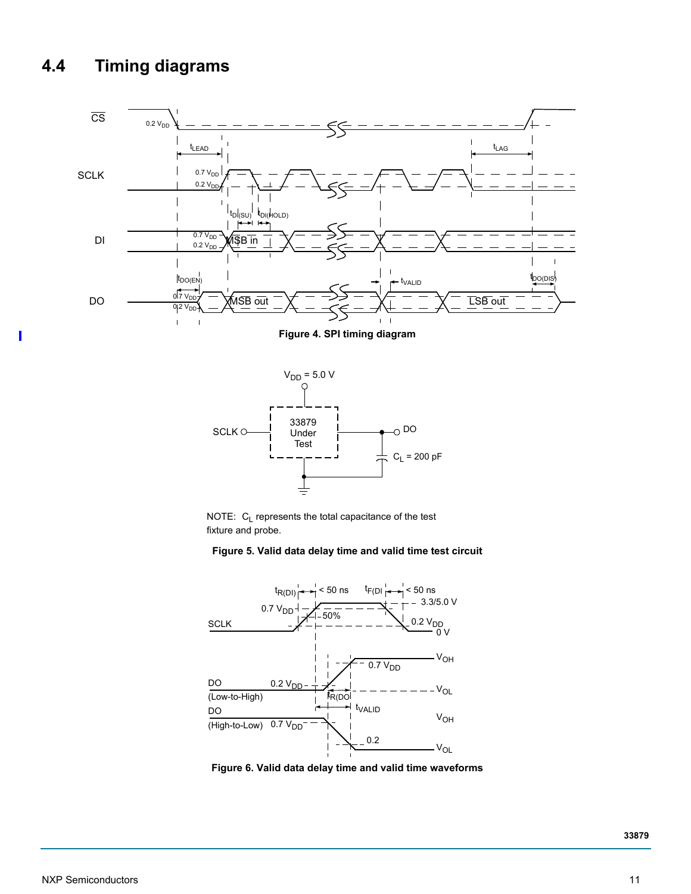# **4.4 Timing diagrams**

 $\overline{\phantom{a}}$ 







#### **Figure 5. Valid data delay time and valid time test circuit**



 **Figure 6. Valid data delay time and valid time waveforms**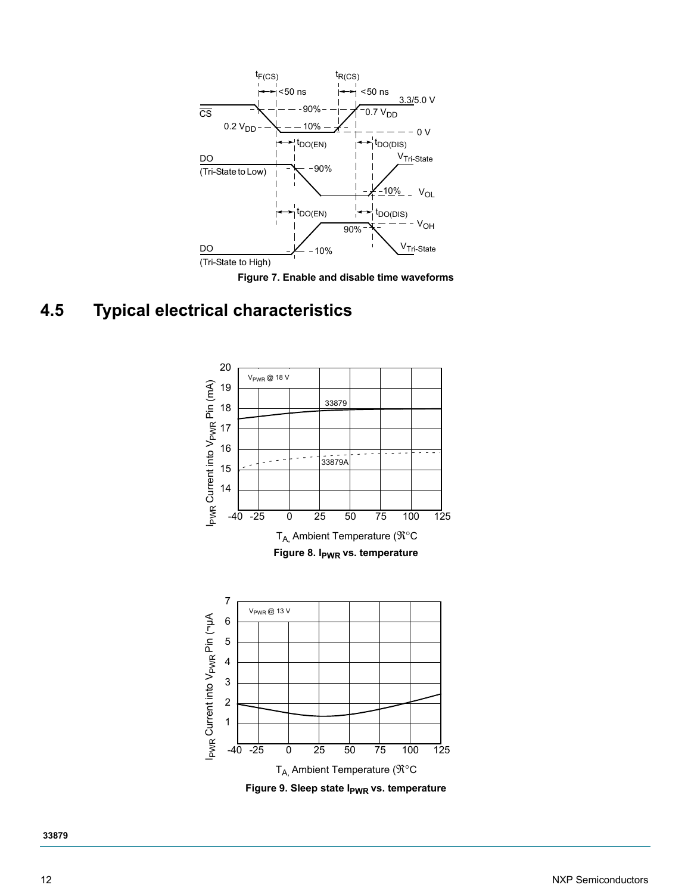

 **Figure 7. Enable and disable time waveforms**

# **4.5 Typical electrical characteristics**

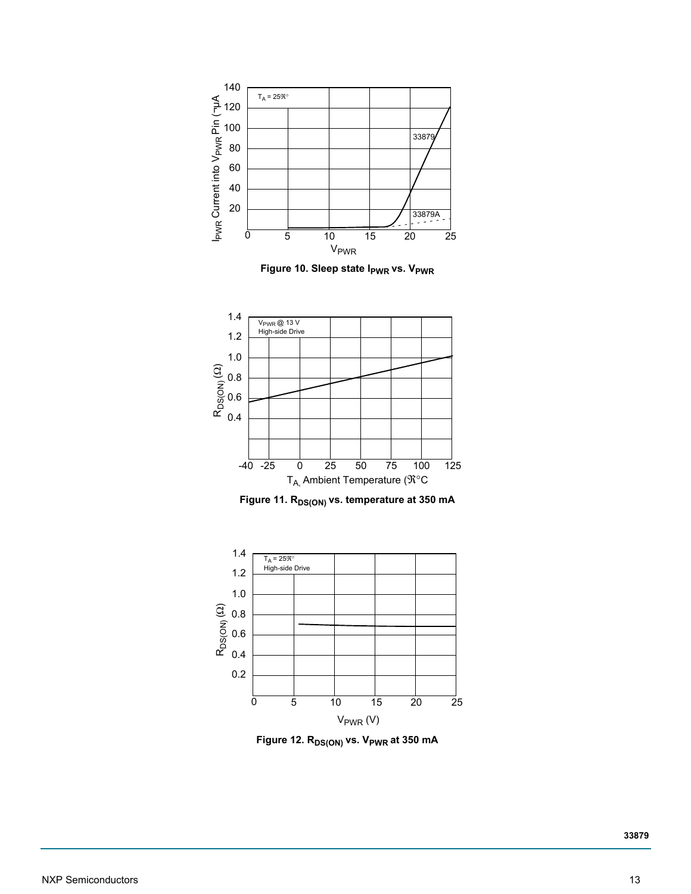

**Figure 10. Sleep state I<sub>PWR</sub> vs. V<sub>PWR</sub>** 



Figure 11. R<sub>DS(ON)</sub> vs. temperature at 350 mA



Figure 12. R<sub>DS(ON)</sub> vs. V<sub>PWR</sub> at 350 mA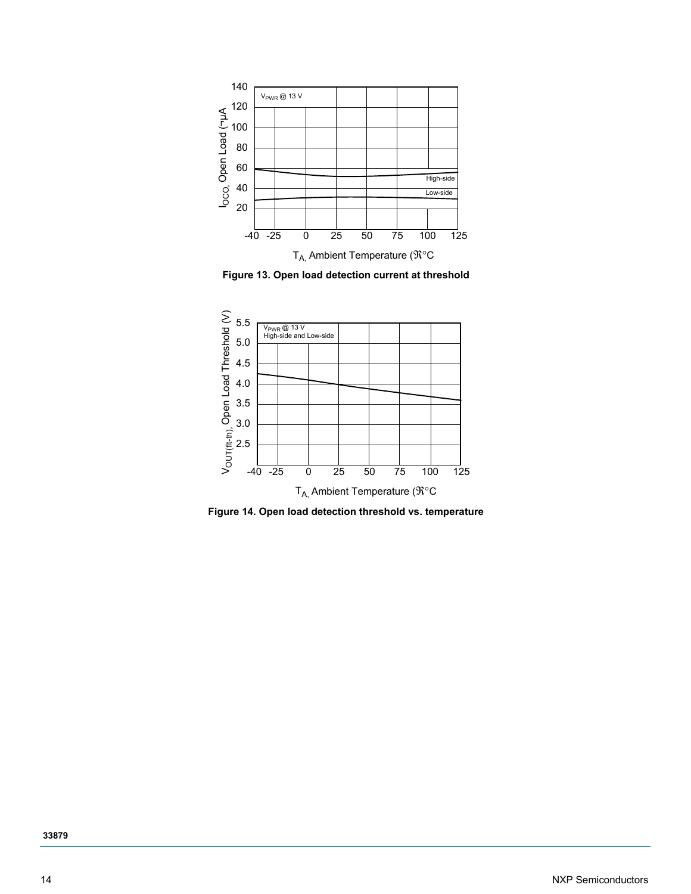

 **Figure 13. Open load detection current at threshold**



<span id="page-13-0"></span> **Figure 14. Open load detection threshold vs. temperature**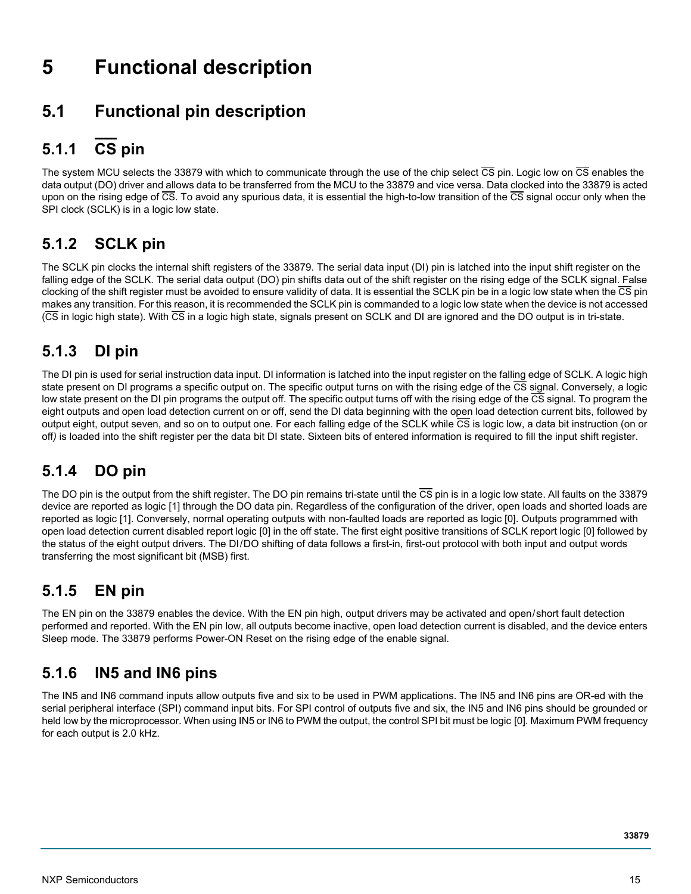# **5 Functional description**

# <span id="page-14-0"></span>**5.1 Functional pin description**

## **5.1.1 CS pin**

The system MCU selects the 33879 with which to communicate through the use of the chip select  $\overline{CS}$  pin. Logic low on  $\overline{CS}$  enables the data output (DO) driver and allows data to be transferred from the MCU to the 33879 and vice versa. Data clocked into the 33879 is acted upon on the rising edge of  $\overline{CS}$ . To avoid any spurious data, it is essential the high-to-low transition of the  $\overline{CS}$  signal occur only when the SPI clock (SCLK) is in a logic low state.

## **5.1.2 SCLK pin**

The SCLK pin clocks the internal shift registers of the 33879. The serial data input (DI) pin is latched into the input shift register on the falling edge of the SCLK. The serial data output (DO) pin shifts data out of the shift register on the rising edge of the SCLK signal. False clocking of the shift register must be avoided to ensure validity of data. It is essential the SCLK pin be in a logic low state when the  $\overline{\text{CS}}$  pin makes any transition. For this reason, it is recommended the SCLK pin is commanded to a logic low state when the device is not accessed (CS in logic high state). With CS in a logic high state, signals present on SCLK and DI are ignored and the DO output is in tri-state.

## **5.1.3 DI pin**

The DI pin is used for serial instruction data input. DI information is latched into the input register on the falling edge of SCLK. A logic high state present on DI programs a specific output on. The specific output turns on with the rising edge of the CS signal. Conversely, a logic low state present on the DI pin programs the output off. The specific output turns off with the rising edge of the  $\overline{CS}$  signal. To program the eight outputs and open load detection current on or off, send the DI data beginning with the open load detection current bits, followed by output eight, output seven, and so on to output one. For each falling edge of the SCLK while  $\overline{CS}$  is logic low, a data bit instruction (on or off*)* is loaded into the shift register per the data bit DI state. Sixteen bits of entered information is required to fill the input shift register.

# **5.1.4 DO pin**

The DO pin is the output from the shift register. The DO pin remains tri-state until the  $\overline{CS}$  pin is in a logic low state. All faults on the 33879 device are reported as logic [1] through the DO data pin. Regardless of the configuration of the driver, open loads and shorted loads are reported as logic [1]. Conversely, normal operating outputs with non-faulted loads are reported as logic [0]. Outputs programmed with open load detection current disabled report logic [0] in the off state. The first eight positive transitions of SCLK report logic [0] followed by the status of the eight output drivers. The DI/DO shifting of data follows a first-in, first-out protocol with both input and output words transferring the most significant bit (MSB) first.

## **5.1.5 EN pin**

The EN pin on the 33879 enables the device. With the EN pin high, output drivers may be activated and open/short fault detection performed and reported. With the EN pin low, all outputs become inactive, open load detection current is disabled, and the device enters Sleep mode. The 33879 performs Power-ON Reset on the rising edge of the enable signal.

### **5.1.6 IN5 and IN6 pins**

The IN5 and IN6 command inputs allow outputs five and six to be used in PWM applications. The IN5 and IN6 pins are OR-ed with the serial peripheral interface (SPI) command input bits. For SPI control of outputs five and six, the IN5 and IN6 pins should be grounded or held low by the microprocessor. When using IN5 or IN6 to PWM the output, the control SPI bit must be logic [0]. Maximum PWM frequency for each output is 2.0 kHz.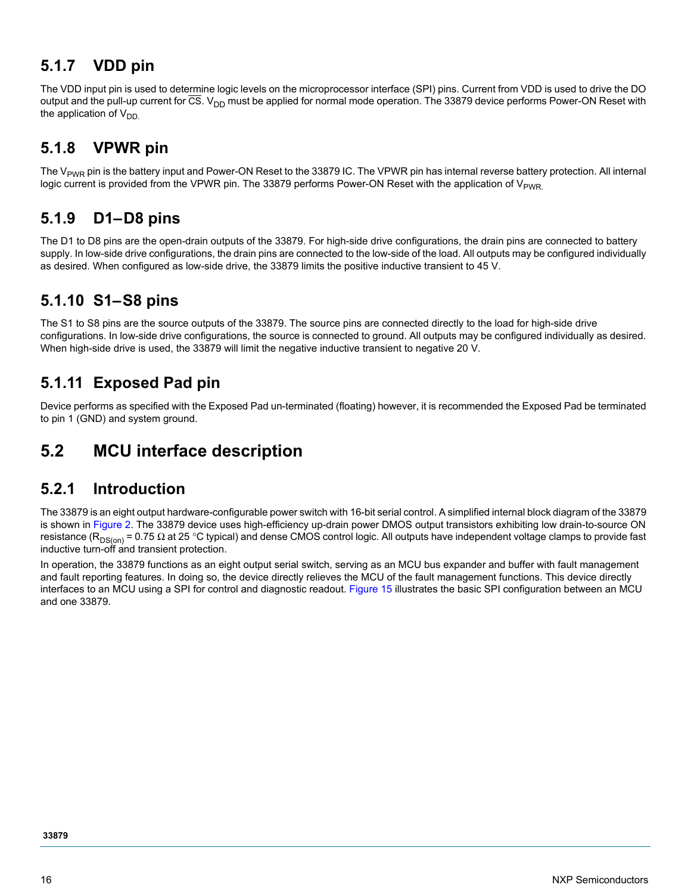### **5.1.7 VDD pin**

The VDD input pin is used to determine logic levels on the microprocessor interface (SPI) pins. Current from VDD is used to drive the DO output and the pull-up current for  $\overline{CS}$ . V<sub>DD</sub> must be applied for normal mode operation. The 33879 device performs Power-ON Reset with the application of  $V_{DD}$ 

### **5.1.8 VPWR pin**

The  $V_{PWR}$  pin is the battery input and Power-ON Reset to the 33879 IC. The VPWR pin has internal reverse battery protection. All internal logic current is provided from the VPWR pin. The 33879 performs Power-ON Reset with the application of  $V_{PWR}$ 

### **5.1.9 D1–D8 pins**

The D1 to D8 pins are the open-drain outputs of the 33879. For high-side drive configurations, the drain pins are connected to battery supply. In low-side drive configurations, the drain pins are connected to the low-side of the load. All outputs may be configured individually as desired. When configured as low-side drive, the 33879 limits the positive inductive transient to 45 V.

### **5.1.10 S1–S8 pins**

The S1 to S8 pins are the source outputs of the 33879. The source pins are connected directly to the load for high-side drive configurations. In low-side drive configurations, the source is connected to ground. All outputs may be configured individually as desired. When high-side drive is used, the 33879 will limit the negative inductive transient to negative 20 V.

### **5.1.11 Exposed Pad pin**

Device performs as specified with the Exposed Pad un-terminated (floating) however, it is recommended the Exposed Pad be terminated to pin 1 (GND) and system ground.

## **5.2 MCU interface description**

### **5.2.1 Introduction**

The 33879 is an eight output hardware-configurable power switch with 16-bit serial control. A simplified internal block diagram of the 33879 is shown in [Figure](#page-2-0) 2. The 33879 device uses high-efficiency up-drain power DMOS output transistors exhibiting low drain-to-source ON resistance ( $R_{DS(on)}$  = 0.75  $\Omega$  at 25 °C typical) and dense CMOS control logic. All outputs have independent voltage clamps to provide fast inductive turn-off and transient protection.

In operation, the 33879 functions as an eight output serial switch, serving as an MCU bus expander and buffer with fault management and fault reporting features. In doing so, the device directly relieves the MCU of the fault management functions. This device directly interfaces to an MCU using a SPI for control and diagnostic readout. [Figure](#page-16-0) 15 illustrates the basic SPI configuration between an MCU and one 33879.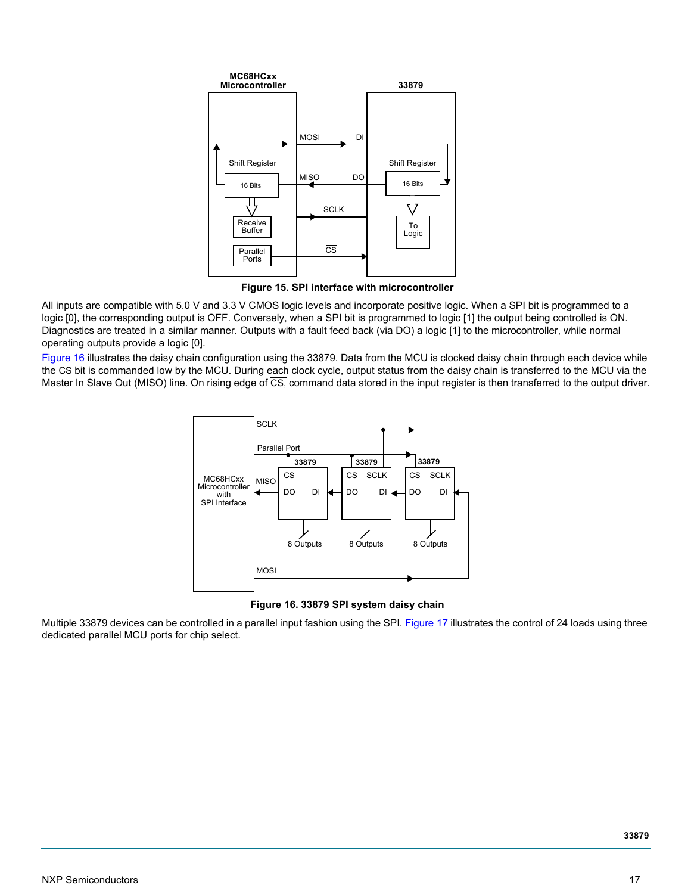

 **Figure 15. SPI interface with microcontroller**

<span id="page-16-0"></span>All inputs are compatible with 5.0 V and 3.3 V CMOS logic levels and incorporate positive logic. When a SPI bit is programmed to a logic [0], the corresponding output is OFF. Conversely, when a SPI bit is programmed to logic [1] the output being controlled is ON. Diagnostics are treated in a similar manner. Outputs with a fault feed back (via DO) a logic [1] to the microcontroller, while normal operating outputs provide a logic [0].

[Figure](#page-16-1) 16 illustrates the daisy chain configuration using the 33879. Data from the MCU is clocked daisy chain through each device while the CS bit is commanded low by the MCU. During each clock cycle, output status from the daisy chain is transferred to the MCU via the Master In Slave Out (MISO) line. On rising edge of  $\overline{CS}$ , command data stored in the input register is then transferred to the output driver.



 **Figure 16. 33879 SPI system daisy chain**

<span id="page-16-1"></span>Multiple 33879 devices can be controlled in a parallel input fashion using the SPI. [Figure](#page-17-0) 17 illustrates the control of 24 loads using three dedicated parallel MCU ports for chip select.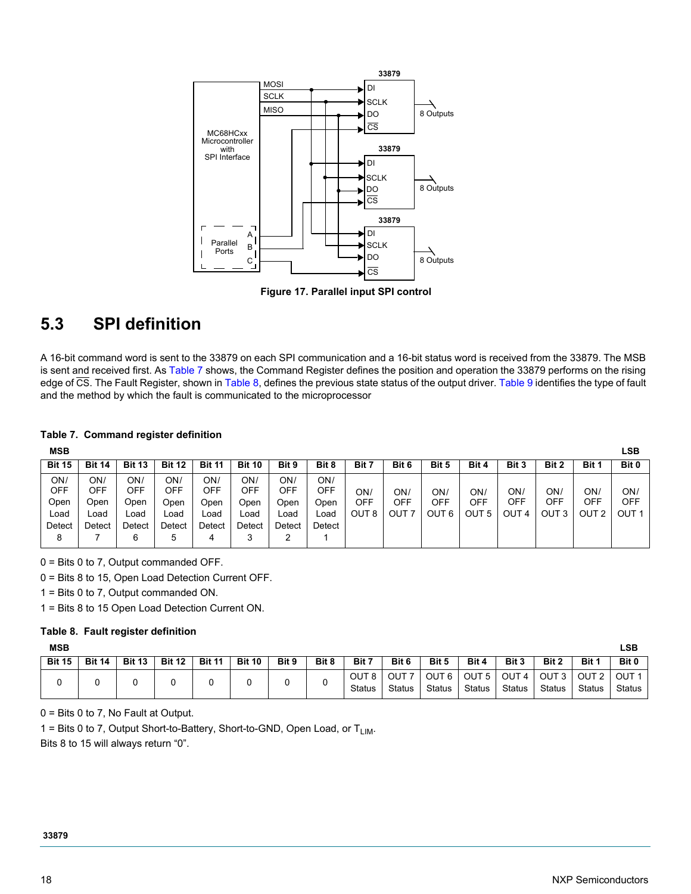

 **Figure 17. Parallel input SPI control**

# <span id="page-17-0"></span>**5.3 SPI definition**

A 16-bit command word is sent to the 33879 on each SPI communication and a 16-bit status word is received from the 33879. The MSB is sent and received first. As [Table](#page-17-1) 7 shows, the Command Register defines the position and operation the 33879 performs on the rising edge of CS. The Fault Register, shown in [Table](#page-17-2) 8, defines the previous state status of the output driver. [Table](#page-18-0) 9 identifies the type of fault and the method by which the fault is communicated to the microprocessor

#### <span id="page-17-1"></span>**Table 7. Command register definition**

| <b>MSB</b>    |            |               |               |               |               |            |            |                  |       |          |       |       |          |       | LSB   |
|---------------|------------|---------------|---------------|---------------|---------------|------------|------------|------------------|-------|----------|-------|-------|----------|-------|-------|
| <b>Bit 15</b> | Bit<br>14  | <b>Bit 13</b> | <b>Bit 12</b> | <b>Bit 11</b> | <b>Bit 10</b> | Bit 9      | Bit 8      | Bit 7            | Bit 6 | Bit 5    | Bit 4 | Bit 3 | Bit 2    | Bit 1 | Bit 0 |
| ON/<br>OFF    | ON,<br>OFF | ON/<br>OFF    | ON/<br>OFF    | ON/<br>OFF    | ON/<br>OFF    | ON/<br>OFF | ON/<br>OFF | ON/              | ON/   | ON/      | ON,   | ON/   | ON,      | ON/   | ON/   |
| Open          | Open       | Open          | Open          | Open          | Open          | Open       | Open       | OFF              | OFF   | OFF      | OFF   | OFF   | OFF      | OFF   | OFF   |
| Load          | Load       | Load          | Load          | Load          | ∟oad          | Load       | Load       | OUT <sub>8</sub> | ΟUΤ   | ουτ<br>6 | OUT 5 | OUT 4 | OUT<br>3 | OUT 2 | OUT 1 |
| Detect        | Detect     | Detect        | Detect        | Detect        | Detect        | Detect     | Detect     |                  |       |          |       |       |          |       |       |
| 8             |            |               | 5             |               |               | ∠          |            |                  |       |          |       |       |          |       |       |

0 = Bits 0 to 7, Output commanded OFF.

0 = Bits 8 to 15, Open Load Detection Current OFF.

1 = Bits 0 to 7, Output commanded ON.

1 = Bits 8 to 15 Open Load Detection Current ON.

#### <span id="page-17-2"></span>**Table 8. Fault register definition**

| <b>MSB</b>    |               |               |               |               |               |       |       |                                   |                            |                        |                            |                                   |                            |                            | <b>LSB</b>           |
|---------------|---------------|---------------|---------------|---------------|---------------|-------|-------|-----------------------------------|----------------------------|------------------------|----------------------------|-----------------------------------|----------------------------|----------------------------|----------------------|
| <b>Bit 15</b> | <b>Bit 14</b> | <b>Bit 13</b> | <b>Bit 12</b> | <b>Bit 11</b> | <b>Bit 10</b> | Bit 9 | Bit 8 | Bit 7                             | Bit 6                      | Bit 5                  | Bit 4                      | Bit 3                             | Bit 2                      | Bit 1                      | Bit 0                |
|               |               |               |               |               |               | J     |       | OUT <sub>8</sub><br><b>Status</b> | OUT <sub>7</sub><br>Status | OUT 6<br><b>Status</b> | OUT <sub>5</sub><br>Status | OUT <sub>4</sub><br><b>Status</b> | OUT <sub>3</sub><br>Status | OUT <sub>2</sub><br>Status | OUT<br><b>Status</b> |

0 = Bits 0 to 7, No Fault at Output.

1 = Bits 0 to 7, Output Short-to-Battery, Short-to-GND, Open Load, or  $T_{LIM}$ .

Bits 8 to 15 will always return "0".

#### **33879**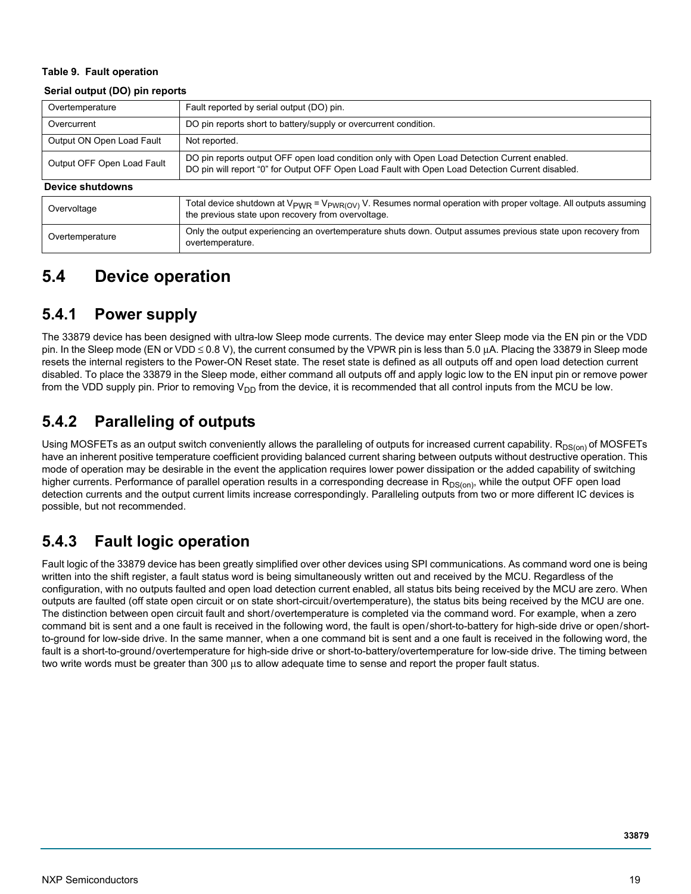#### <span id="page-18-0"></span>**Table 9. Fault operation**

#### **Serial output (DO) pin reports**

| Overtemperature            | Fault reported by serial output (DO) pin.                                                                                                                                                        |  |  |  |  |
|----------------------------|--------------------------------------------------------------------------------------------------------------------------------------------------------------------------------------------------|--|--|--|--|
| Overcurrent                | DO pin reports short to battery/supply or overcurrent condition.                                                                                                                                 |  |  |  |  |
| Output ON Open Load Fault  | Not reported.                                                                                                                                                                                    |  |  |  |  |
| Output OFF Open Load Fault | DO pin reports output OFF open load condition only with Open Load Detection Current enabled.<br>DO pin will report "0" for Output OFF Open Load Fault with Open Load Detection Current disabled. |  |  |  |  |
| <b>Device shutdowns</b>    |                                                                                                                                                                                                  |  |  |  |  |
| Overvoltage                | Total device shutdown at $V_{PWR} = V_{PWR(OV)} V$ . Resumes normal operation with proper voltage. All outputs assuming<br>the previous state upon recovery from overvoltage.                    |  |  |  |  |
| Overtemperature            | Only the output experiencing an overtemperature shuts down. Output assumes previous state upon recovery from<br>overtemperature.                                                                 |  |  |  |  |

### <span id="page-18-1"></span>**5.4 Device operation**

### **5.4.1 Power supply**

The 33879 device has been designed with ultra-low Sleep mode currents. The device may enter Sleep mode via the EN pin or the VDD pin. In the Sleep mode (EN or VDD ≤ 0.8 V), the current consumed by the VPWR pin is less than 5.0 μA. Placing the 33879 in Sleep mode resets the internal registers to the Power-ON Reset state. The reset state is defined as all outputs off and open load detection current disabled. To place the 33879 in the Sleep mode, either command all outputs off and apply logic low to the EN input pin or remove power from the VDD supply pin. Prior to removing  $V_{DD}$  from the device, it is recommended that all control inputs from the MCU be low.

### **5.4.2 Paralleling of outputs**

Using MOSFETs as an output switch conveniently allows the paralleling of outputs for increased current capability. R<sub>DS(on)</sub> of MOSFETs have an inherent positive temperature coefficient providing balanced current sharing between outputs without destructive operation. This mode of operation may be desirable in the event the application requires lower power dissipation or the added capability of switching higher currents. Performance of parallel operation results in a corresponding decrease in R<sub>DS(on)</sub>, while the output OFF open load detection currents and the output current limits increase correspondingly. Paralleling outputs from two or more different IC devices is possible, but not recommended.

### **5.4.3 Fault logic operation**

Fault logic of the 33879 device has been greatly simplified over other devices using SPI communications. As command word one is being written into the shift register, a fault status word is being simultaneously written out and received by the MCU. Regardless of the configuration, with no outputs faulted and open load detection current enabled, all status bits being received by the MCU are zero. When outputs are faulted (off state open circuit or on state short-circuit/overtemperature), the status bits being received by the MCU are one. The distinction between open circuit fault and short/overtemperature is completed via the command word. For example, when a zero command bit is sent and a one fault is received in the following word, the fault is open/short-to-battery for high-side drive or open/shortto-ground for low-side drive. In the same manner, when a one command bit is sent and a one fault is received in the following word, the fault is a short-to-ground/overtemperature for high-side drive or short-to-battery/overtemperature for low-side drive. The timing between two write words must be greater than 300 μs to allow adequate time to sense and report the proper fault status.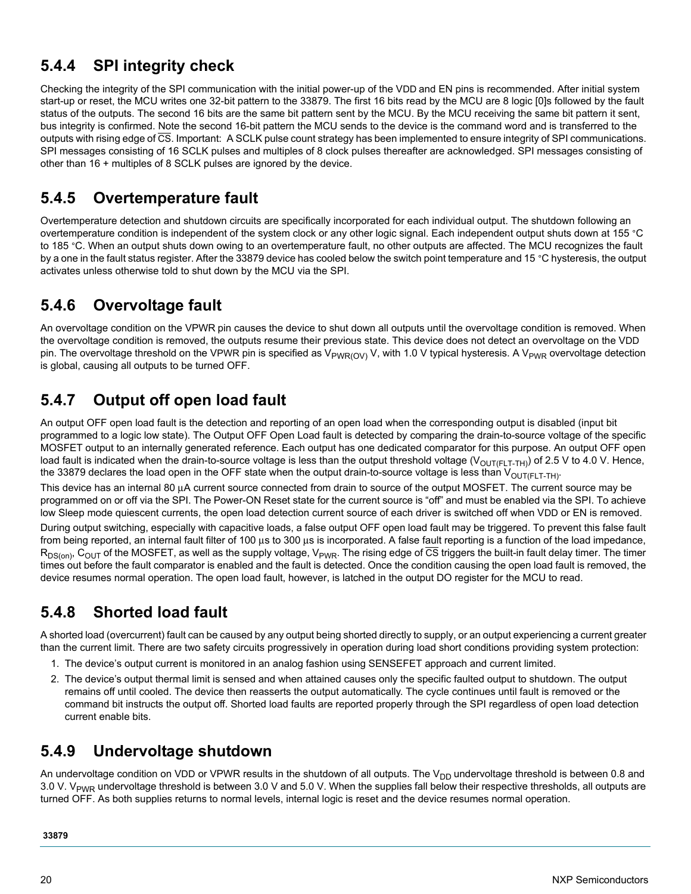### **5.4.4 SPI integrity check**

Checking the integrity of the SPI communication with the initial power-up of the VDD and EN pins is recommended. After initial system start-up or reset, the MCU writes one 32-bit pattern to the 33879. The first 16 bits read by the MCU are 8 logic [0]s followed by the fault status of the outputs. The second 16 bits are the same bit pattern sent by the MCU. By the MCU receiving the same bit pattern it sent, bus integrity is confirmed. Note the second 16-bit pattern the MCU sends to the device is the command word and is transferred to the outputs with rising edge of CS. Important: A SCLK pulse count strategy has been implemented to ensure integrity of SPI communications. SPI messages consisting of 16 SCLK pulses and multiples of 8 clock pulses thereafter are acknowledged. SPI messages consisting of other than 16 + multiples of 8 SCLK pulses are ignored by the device.

### **5.4.5 Overtemperature fault**

Overtemperature detection and shutdown circuits are specifically incorporated for each individual output. The shutdown following an overtemperature condition is independent of the system clock or any other logic signal. Each independent output shuts down at 155 °C to 185 °C. When an output shuts down owing to an overtemperature fault, no other outputs are affected. The MCU recognizes the fault by a one in the fault status register. After the 33879 device has cooled below the switch point temperature and 15 °C hysteresis, the output activates unless otherwise told to shut down by the MCU via the SPI.

### <span id="page-19-0"></span>**5.4.6 Overvoltage fault**

An overvoltage condition on the VPWR pin causes the device to shut down all outputs until the overvoltage condition is removed. When the overvoltage condition is removed, the outputs resume their previous state. This device does not detect an overvoltage on the VDD pin. The overvoltage threshold on the VPWR pin is specified as  $V_{PWR(OV)}$  V, with 1.0 V typical hysteresis. A V<sub>PWR</sub> overvoltage detection is global, causing all outputs to be turned OFF.

### **5.4.7 Output off open load fault**

An output OFF open load fault is the detection and reporting of an open load when the corresponding output is disabled (input bit programmed to a logic low state). The Output OFF Open Load fault is detected by comparing the drain-to-source voltage of the specific MOSFET output to an internally generated reference. Each output has one dedicated comparator for this purpose. An output OFF open load fault is indicated when the drain-to-source voltage is less than the output threshold voltage ( $V_{\text{OUT}(FLT-TH)}$ ) of 2.5 V to 4.0 V. Hence, the 33879 declares the load open in the OFF state when the output drain-to-source voltage is less than  $V_{\text{OUT}(FLT-TH)}$ .

This device has an internal 80 μA current source connected from drain to source of the output MOSFET. The current source may be programmed on or off via the SPI. The Power-ON Reset state for the current source is "off" and must be enabled via the SPI. To achieve low Sleep mode quiescent currents, the open load detection current source of each driver is switched off when VDD or EN is removed.

During output switching, especially with capacitive loads, a false output OFF open load fault may be triggered. To prevent this false fault from being reported, an internal fault filter of 100 μs to 300 μs is incorporated. A false fault reporting is a function of the load impedance,  $R_{DS(0n)}$ , C<sub>OUT</sub> of the MOSFET, as well as the supply voltage, V<sub>PWR</sub>. The rising edge of  $\overline{CS}$  triggers the built-in fault delay timer. The timer times out before the fault comparator is enabled and the fault is detected. Once the condition causing the open load fault is removed, the device resumes normal operation. The open load fault, however, is latched in the output DO register for the MCU to read.

### **5.4.8 Shorted load fault**

A shorted load (overcurrent) fault can be caused by any output being shorted directly to supply, or an output experiencing a current greater than the current limit. There are two safety circuits progressively in operation during load short conditions providing system protection:

- 1. The device's output current is monitored in an analog fashion using SENSEFET approach and current limited.
- 2. The device's output thermal limit is sensed and when attained causes only the specific faulted output to shutdown. The output remains off until cooled. The device then reasserts the output automatically. The cycle continues until fault is removed or the command bit instructs the output off. Shorted load faults are reported properly through the SPI regardless of open load detection current enable bits.

### **5.4.9 Undervoltage shutdown**

An undervoltage condition on VDD or VPWR results in the shutdown of all outputs. The  $V_{DD}$  undervoltage threshold is between 0.8 and 3.0 V. V<sub>PWR</sub> undervoltage threshold is between 3.0 V and 5.0 V. When the supplies fall below their respective thresholds, all outputs are turned OFF. As both supplies returns to normal levels, internal logic is reset and the device resumes normal operation.

#### **33879**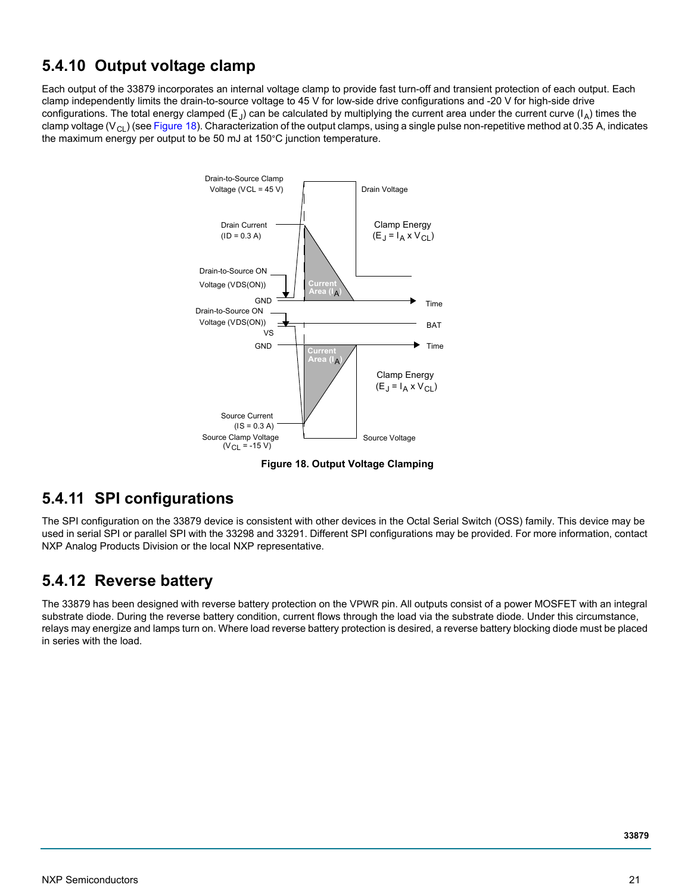### **5.4.10 Output voltage clamp**

Each output of the 33879 incorporates an internal voltage clamp to provide fast turn-off and transient protection of each output. Each clamp independently limits the drain-to-source voltage to 45 V for low-side drive configurations and -20 V for high-side drive configurations. The total energy clamped (E<sub>J</sub>) can be calculated by multiplying the current area under the current curve ( $I_A$ ) times the clamp voltage ( $V_{\text{Cl}}$ ) (see [Figure](#page-20-0) 18). Characterization of the output clamps, using a single pulse non-repetitive method at 0.35 A, indicates the maximum energy per output to be 50 mJ at 150°C junction temperature.



 **Figure 18. Output Voltage Clamping** 

### <span id="page-20-0"></span>**5.4.11 SPI configurations**

The SPI configuration on the 33879 device is consistent with other devices in the Octal Serial Switch (OSS) family. This device may be used in serial SPI or parallel SPI with the 33298 and 33291. Different SPI configurations may be provided. For more information, contact NXP Analog Products Division or the local NXP representative.

### **5.4.12 Reverse battery**

The 33879 has been designed with reverse battery protection on the VPWR pin. All outputs consist of a power MOSFET with an integral substrate diode. During the reverse battery condition, current flows through the load via the substrate diode. Under this circumstance, relays may energize and lamps turn on. Where load reverse battery protection is desired, a reverse battery blocking diode must be placed in series with the load.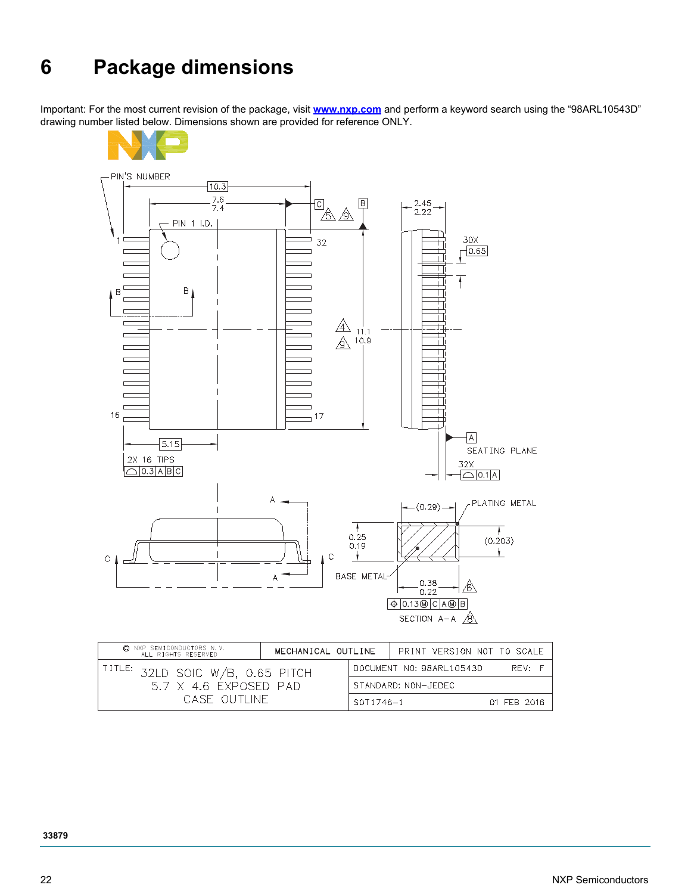# **6 Package dimensions**

Important: For the most current revision of the package, visit **[www.nxp.com](http://www.nxp.com)** and perform a keyword search using the "98ARL10543D" drawing number listed below. Dimensions shown are provided for reference ONLY.



| C NXP SEMICONDUCTORS N.V.<br>ALL RIGHTS RESERVED | MECHANICAL OUTLINE |                          | PRINT VERSION NOT TO SCALE |             |
|--------------------------------------------------|--------------------|--------------------------|----------------------------|-------------|
| $I^{TITLE:}$ 32LD SOIC W/B, 0.65 PITCH           |                    | DOCUMENT NO: 98ARL10543D | RFV:                       |             |
| 57 X 46 EXPOSED PAD                              |                    | STANDARD: NON-JEDEC      |                            |             |
| CASE OUTLINE                                     |                    |                          | SOT1746-1                  | 01 FFB 2016 |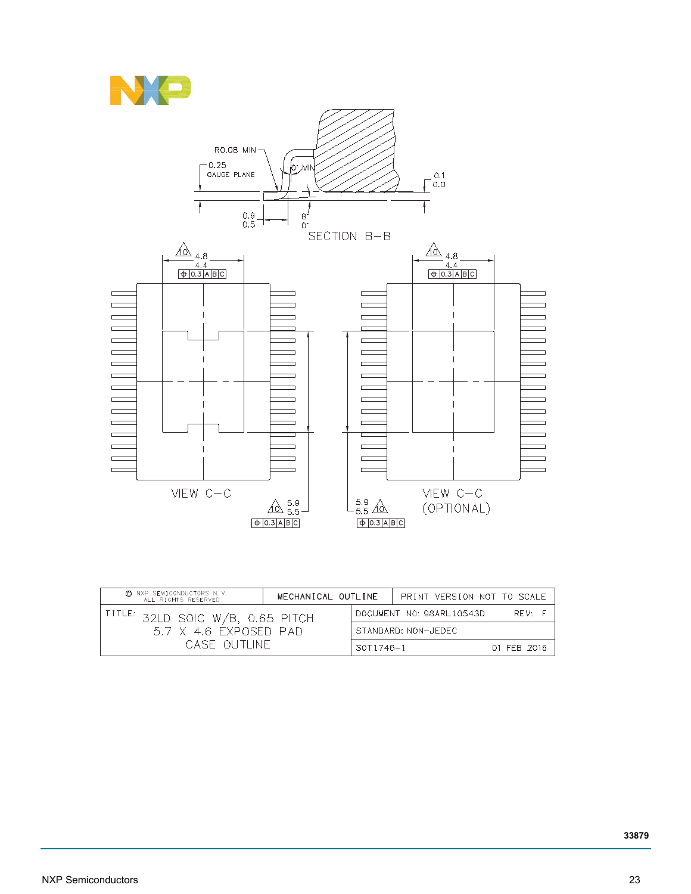



| C NXP SEMICONDUCTORS N.V.<br>ALL RIGHTS RESERVED | MECHANICAL OUTLINE                  |  |             | PRINT VERSION NOT TO SCALE |  |
|--------------------------------------------------|-------------------------------------|--|-------------|----------------------------|--|
| $1^{\text{TITLE:}}$ 32LD soic W/b, 0.65 pitch    | DOCUMENT NO: 98ARL10543D<br>$RFV$ F |  |             |                            |  |
| $5.7 \times 4.6$ exposed pad.                    | STANDARD: NON-JEDEC                 |  |             |                            |  |
| CASE OUTHNE                                      | $SOT1746 - 1$                       |  | 01 FFB 2016 |                            |  |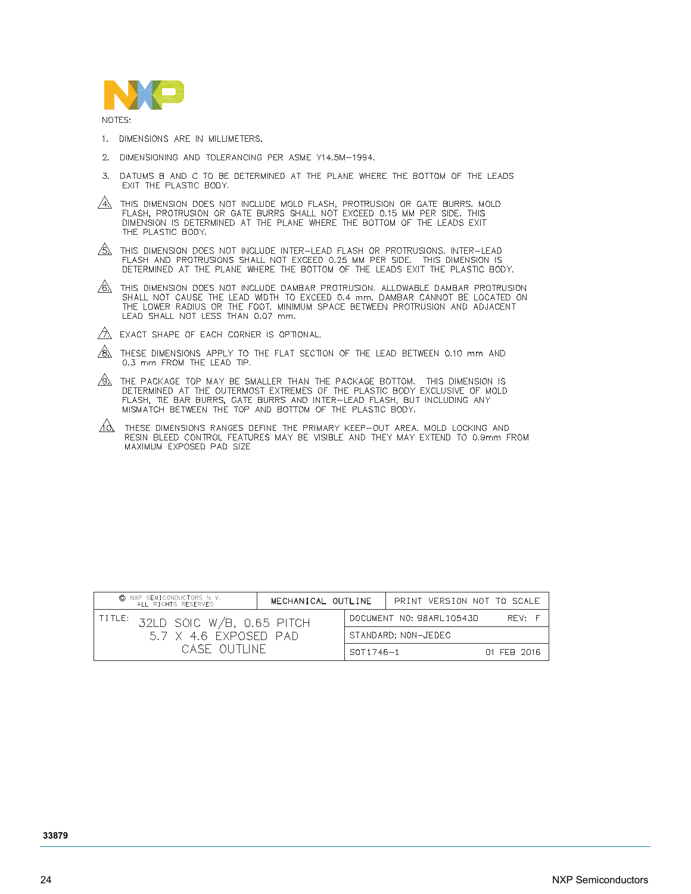

NOTES:

- 1. DIMENSIONS ARE IN MILLIMETERS.
- 2. DIMENSIONING AND TOLERANCING PER ASME Y14.5M-1994.
- DATUMS B AND C TO BE DETERMINED AT THE PLANE WHERE THE BOTTOM OF THE LEADS 3. EXIT THE PLASTIC BODY.
- $\overbrace{4\lambda}$  this dimension does not include mold flash, protrusion or gate burrs. Mold flash, protrusion or gate burrs shall not exceed 0.15 mm per side. This dimension is determined at the plane where the bottom of the le THE PLASTIC BODY.
- $\frac{1}{2}$  This dimension does not include inter-lead flash or protrusions. Inter-lead FLASH AND PROTRUSIONS SHALL NOT EXCEED 0.25 MM PER SIDE. THIS DIMENSION IS<br>DETERMINED AT THE PLANE WHERE THE BOTTOM OF THE LEADS EXIT THE PLASTIC BODY.
- $\underbrace{6}$  This dimension does not include dambar protrusion. Allowable dambar protrusion<br>SHALL NOT CAUSE THE LEAD WIDTH TO EXCEED 0.4 mm, DAMBAR CANNOT BE LOCATED ON<br>THE LOWER RADIUS OR THE FOOT, MINIMUM SPACE BETWEEN PROT LEAD SHALL NOT LESS THAN 0.07 mm.

 $\sqrt{2}$  EXACT SHAPE OF EACH CORNER IS OPTIONAL.

- $\sqrt{8}$  These dimensions apply to the flat section of the lead between 0.10 mm and 0.3 mm FROM THE LEAD TIP.
- $\overline{\mathcal{D}}$  the package top may be smaller than the package bottom. This dimension is DETERMINED AT THE OUTERMOST EXTREMES OF THE PLASTIC BODY EXCLUSIVE OF MOLD PLASH, THE BAR BURRS, GATE BURRS AND INTER-LEAD FLASH, BUT INCLUDING ANY<br>MISMATCH BETWEEN THE TOP AND BOTTOM OF THE PLASTIC BODY.
- $\overbrace{A\lambda}$  THESE DIMENSIONS RANGES DEFINE THE PRIMARY KEEP-OUT AREA, MOLD LOCKING AND<br>RESIN BLEED CONTROL FEATURES MAY BE VISIBLE AND THEY MAY EXTEND TO 0.9mm FROM MAXIMUM EXPOSED PAD SIZE

| © NXP SEMICONDUCTORS N.V.<br>ALL RIGHTS RESERVED  | MECHANICAL OUTLINE |               | PRINT VERSION NOT TO SCALE |             |
|---------------------------------------------------|--------------------|---------------|----------------------------|-------------|
| $\text{IITLE: } 32\text{LD SOIC W/B, 0.65 PITCH}$ |                    |               | DOCUMENT NO: 98ARL10543D   | RFV: F      |
| 57 X 46 EXPOSED PAD                               |                    |               | STANDARD: NON-JEDEC        |             |
| CASE OUTHNE                                       |                    | $SOT1746 - 1$ |                            | 01 FFB 2016 |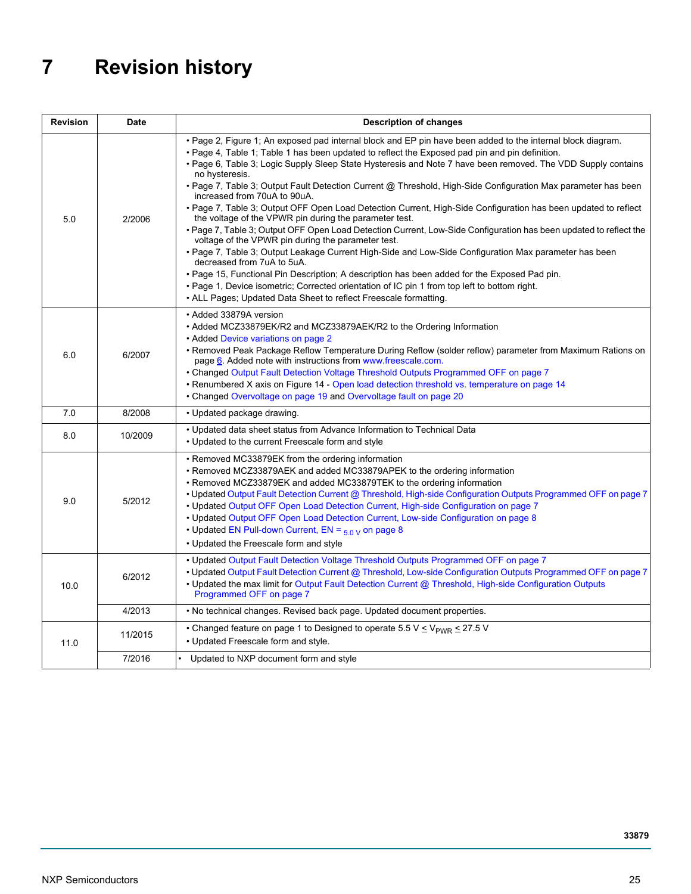# **7 Revision history**

| <b>Revision</b> | <b>Date</b> | <b>Description of changes</b>                                                                                                                                                                                                                                                                                                                                                                                                                                                                                                                                                                                                                                                                                                                                                                                                                                                                                                                                                                                                                                                                                                                                                                                                                                      |
|-----------------|-------------|--------------------------------------------------------------------------------------------------------------------------------------------------------------------------------------------------------------------------------------------------------------------------------------------------------------------------------------------------------------------------------------------------------------------------------------------------------------------------------------------------------------------------------------------------------------------------------------------------------------------------------------------------------------------------------------------------------------------------------------------------------------------------------------------------------------------------------------------------------------------------------------------------------------------------------------------------------------------------------------------------------------------------------------------------------------------------------------------------------------------------------------------------------------------------------------------------------------------------------------------------------------------|
| 5.0             | 2/2006      | • Page 2, Figure 1; An exposed pad internal block and EP pin have been added to the internal block diagram.<br>• Page 4, Table 1; Table 1 has been updated to reflect the Exposed pad pin and pin definition.<br>• Page 6, Table 3; Logic Supply Sleep State Hysteresis and Note 7 have been removed. The VDD Supply contains<br>no hysteresis.<br>• Page 7, Table 3; Output Fault Detection Current @ Threshold, High-Side Configuration Max parameter has been<br>increased from 70uA to 90uA.<br>• Page 7, Table 3; Output OFF Open Load Detection Current, High-Side Configuration has been updated to reflect<br>the voltage of the VPWR pin during the parameter test.<br>• Page 7, Table 3: Output OFF Open Load Detection Current, Low-Side Configuration has been updated to reflect the<br>voltage of the VPWR pin during the parameter test.<br>. Page 7, Table 3; Output Leakage Current High-Side and Low-Side Configuration Max parameter has been<br>decreased from 7uA to 5uA.<br>. Page 15, Functional Pin Description; A description has been added for the Exposed Pad pin.<br>. Page 1, Device isometric; Corrected orientation of IC pin 1 from top left to bottom right.<br>• ALL Pages; Updated Data Sheet to reflect Freescale formatting. |
| 6.0             | 6/2007      | • Added 33879A version<br>• Added MCZ33879EK/R2 and MCZ33879AEK/R2 to the Ordering Information<br>• Added Device variations on page 2<br>• Removed Peak Package Reflow Temperature During Reflow (solder reflow) parameter from Maximum Rations on<br>page 6. Added note with instructions from www.freescale.com.<br>• Changed Output Fault Detection Voltage Threshold Outputs Programmed OFF on page 7<br>• Renumbered X axis on Figure 14 - Open load detection threshold vs. temperature on page 14<br>• Changed Overvoltage on page 19 and Overvoltage fault on page 20                                                                                                                                                                                                                                                                                                                                                                                                                                                                                                                                                                                                                                                                                      |
| 7.0             | 8/2008      | • Updated package drawing.                                                                                                                                                                                                                                                                                                                                                                                                                                                                                                                                                                                                                                                                                                                                                                                                                                                                                                                                                                                                                                                                                                                                                                                                                                         |
| 8.0             | 10/2009     | • Updated data sheet status from Advance Information to Technical Data<br>• Updated to the current Freescale form and style                                                                                                                                                                                                                                                                                                                                                                                                                                                                                                                                                                                                                                                                                                                                                                                                                                                                                                                                                                                                                                                                                                                                        |
| 9.0             | 5/2012      | • Removed MC33879EK from the ordering information<br>• Removed MCZ33879AEK and added MC33879APEK to the ordering information<br>• Removed MCZ33879EK and added MC33879TEK to the ordering information<br>• Updated Output Fault Detection Current @ Threshold, High-side Configuration Outputs Programmed OFF on page 7<br>• Updated Output OFF Open Load Detection Current, High-side Configuration on page 7<br>• Updated Output OFF Open Load Detection Current, Low-side Configuration on page 8<br>• Updated EN Pull-down Current, EN = $_{5.0}$ y on page 8<br>• Updated the Freescale form and style                                                                                                                                                                                                                                                                                                                                                                                                                                                                                                                                                                                                                                                        |
| 10.0            | 6/2012      | • Updated Output Fault Detection Voltage Threshold Outputs Programmed OFF on page 7<br>• Updated Output Fault Detection Current @ Threshold, Low-side Configuration Outputs Programmed OFF on page 7<br>• Updated the max limit for Output Fault Detection Current @ Threshold, High-side Configuration Outputs<br>Programmed OFF on page 7                                                                                                                                                                                                                                                                                                                                                                                                                                                                                                                                                                                                                                                                                                                                                                                                                                                                                                                        |
|                 | 4/2013      | . No technical changes. Revised back page. Updated document properties.                                                                                                                                                                                                                                                                                                                                                                                                                                                                                                                                                                                                                                                                                                                                                                                                                                                                                                                                                                                                                                                                                                                                                                                            |
| 11.0            | 11/2015     | • Changed feature on page 1 to Designed to operate 5.5 V $\leq$ V <sub>PWR</sub> $\leq$ 27.5 V<br>• Updated Freescale form and style.                                                                                                                                                                                                                                                                                                                                                                                                                                                                                                                                                                                                                                                                                                                                                                                                                                                                                                                                                                                                                                                                                                                              |
|                 | 7/2016      | Updated to NXP document form and style                                                                                                                                                                                                                                                                                                                                                                                                                                                                                                                                                                                                                                                                                                                                                                                                                                                                                                                                                                                                                                                                                                                                                                                                                             |